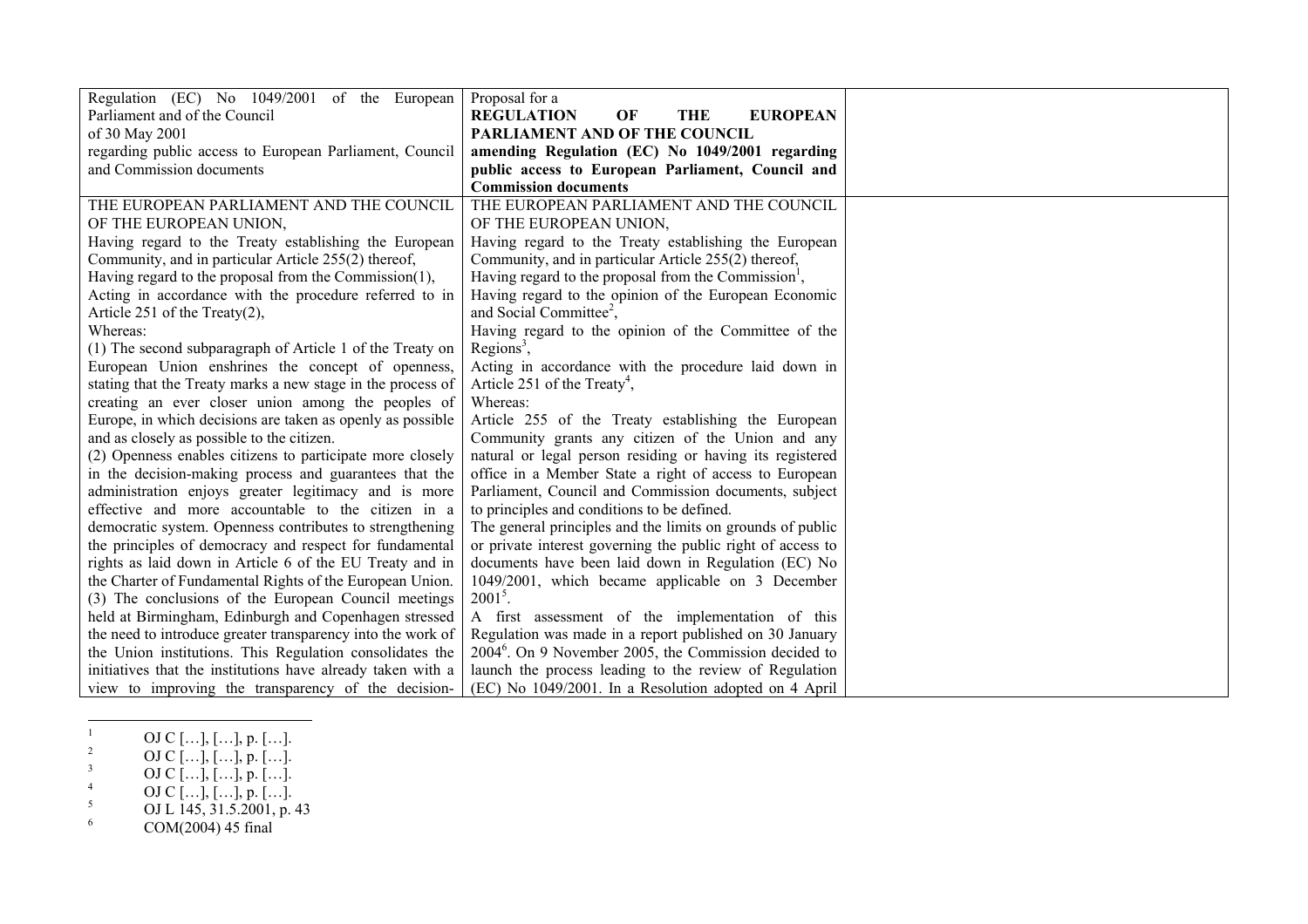| Regulation (EC) No 1049/2001 of the European                | Proposal for a                                                    |
|-------------------------------------------------------------|-------------------------------------------------------------------|
| Parliament and of the Council                               | <b>REGULATION</b><br><b>EUROPEAN</b><br>OF<br>THE                 |
| of 30 May 2001                                              | PARLIAMENT AND OF THE COUNCIL                                     |
| regarding public access to European Parliament, Council     | amending Regulation (EC) No 1049/2001 regarding                   |
| and Commission documents                                    | public access to European Parliament, Council and                 |
|                                                             | <b>Commission documents</b>                                       |
| THE EUROPEAN PARLIAMENT AND THE COUNCIL                     | THE EUROPEAN PARLIAMENT AND THE COUNCIL                           |
| OF THE EUROPEAN UNION,                                      | OF THE EUROPEAN UNION,                                            |
| Having regard to the Treaty establishing the European       | Having regard to the Treaty establishing the European             |
| Community, and in particular Article 255(2) thereof,        | Community, and in particular Article 255(2) thereof,              |
| Having regard to the proposal from the Commission(1),       | Having regard to the proposal from the Commission <sup>1</sup> ,  |
| Acting in accordance with the procedure referred to in      | Having regard to the opinion of the European Economic             |
| Article 251 of the Treaty $(2)$ ,                           | and Social Committee <sup>2</sup> ,                               |
| Whereas:                                                    | Having regard to the opinion of the Committee of the              |
| (1) The second subparagraph of Article 1 of the Treaty on   | Regions <sup>3</sup> ,                                            |
| European Union enshrines the concept of openness,           | Acting in accordance with the procedure laid down in              |
| stating that the Treaty marks a new stage in the process of | Article 251 of the Treaty <sup>4</sup> ,                          |
| creating an ever closer union among the peoples of          | Whereas:                                                          |
| Europe, in which decisions are taken as openly as possible  | Article 255 of the Treaty establishing the European               |
| and as closely as possible to the citizen.                  | Community grants any citizen of the Union and any                 |
| (2) Openness enables citizens to participate more closely   | natural or legal person residing or having its registered         |
| in the decision-making process and guarantees that the      | office in a Member State a right of access to European            |
| administration enjoys greater legitimacy and is more        | Parliament, Council and Commission documents, subject             |
| effective and more accountable to the citizen in a          | to principles and conditions to be defined.                       |
| democratic system. Openness contributes to strengthening    | The general principles and the limits on grounds of public        |
| the principles of democracy and respect for fundamental     | or private interest governing the public right of access to       |
| rights as laid down in Article 6 of the EU Treaty and in    | documents have been laid down in Regulation (EC) No               |
| the Charter of Fundamental Rights of the European Union.    | 1049/2001, which became applicable on 3 December                  |
| (3) The conclusions of the European Council meetings        | $2001^5$ .                                                        |
| held at Birmingham, Edinburgh and Copenhagen stressed       | A first assessment of the implementation of this                  |
| the need to introduce greater transparency into the work of | Regulation was made in a report published on 30 January           |
| the Union institutions. This Regulation consolidates the    | 2004 <sup>6</sup> . On 9 November 2005, the Commission decided to |
| initiatives that the institutions have already taken with a | launch the process leading to the review of Regulation            |
| view to improving the transparency of the decision-         | (EC) No 1049/2001. In a Resolution adopted on 4 April             |

 $1$  OJ C [...], [...], p. [...].

- <sup>2</sup> OJ C […], […], p. […].
- $3$  OJ C [...], [...], p. [...].
- 4 OJ C [...], [...], p. [...].
- $5$  OJ L 145, 31.5.2001, p. 43
- $6 \text{COM}(2004) \, 45 \text{ final}$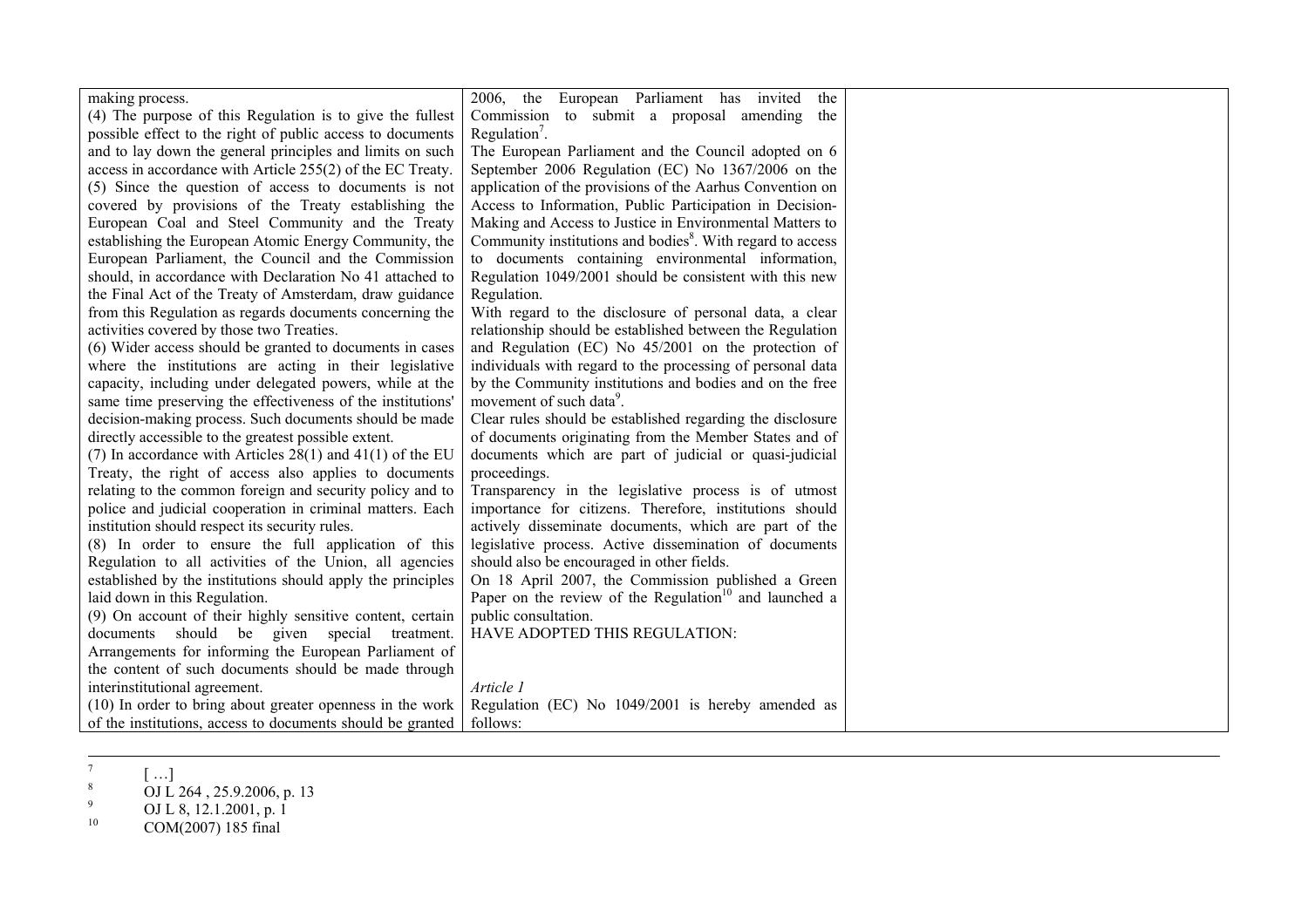| making process.                                               | 2006, the European Parliament has invited<br>the                       |  |
|---------------------------------------------------------------|------------------------------------------------------------------------|--|
| (4) The purpose of this Regulation is to give the fullest     | Commission to submit a proposal amending the                           |  |
| possible effect to the right of public access to documents    | Regulation <sup>7</sup> .                                              |  |
| and to lay down the general principles and limits on such     | The European Parliament and the Council adopted on 6                   |  |
| access in accordance with Article 255(2) of the EC Treaty.    | September 2006 Regulation (EC) No 1367/2006 on the                     |  |
| (5) Since the question of access to documents is not          | application of the provisions of the Aarhus Convention on              |  |
| covered by provisions of the Treaty establishing the          | Access to Information, Public Participation in Decision-               |  |
| European Coal and Steel Community and the Treaty              | Making and Access to Justice in Environmental Matters to               |  |
| establishing the European Atomic Energy Community, the        | Community institutions and bodies <sup>8</sup> . With regard to access |  |
| European Parliament, the Council and the Commission           | to documents containing environmental information,                     |  |
| should, in accordance with Declaration No 41 attached to      | Regulation 1049/2001 should be consistent with this new                |  |
| the Final Act of the Treaty of Amsterdam, draw guidance       | Regulation.                                                            |  |
| from this Regulation as regards documents concerning the      | With regard to the disclosure of personal data, a clear                |  |
| activities covered by those two Treaties.                     | relationship should be established between the Regulation              |  |
| (6) Wider access should be granted to documents in cases      | and Regulation (EC) No 45/2001 on the protection of                    |  |
| where the institutions are acting in their legislative        | individuals with regard to the processing of personal data             |  |
| capacity, including under delegated powers, while at the      | by the Community institutions and bodies and on the free               |  |
| same time preserving the effectiveness of the institutions'   | movement of such data <sup>9</sup> .                                   |  |
| decision-making process. Such documents should be made        | Clear rules should be established regarding the disclosure             |  |
| directly accessible to the greatest possible extent.          | of documents originating from the Member States and of                 |  |
| (7) In accordance with Articles $28(1)$ and $41(1)$ of the EU | documents which are part of judicial or quasi-judicial                 |  |
| Treaty, the right of access also applies to documents         | proceedings.                                                           |  |
| relating to the common foreign and security policy and to     | Transparency in the legislative process is of utmost                   |  |
| police and judicial cooperation in criminal matters. Each     | importance for citizens. Therefore, institutions should                |  |
| institution should respect its security rules.                | actively disseminate documents, which are part of the                  |  |
| (8) In order to ensure the full application of this           | legislative process. Active dissemination of documents                 |  |
| Regulation to all activities of the Union, all agencies       | should also be encouraged in other fields.                             |  |
| established by the institutions should apply the principles   | On 18 April 2007, the Commission published a Green                     |  |
| laid down in this Regulation.                                 | Paper on the review of the Regulation <sup>10</sup> and launched a     |  |
| (9) On account of their highly sensitive content, certain     | public consultation.                                                   |  |
| documents should be given special treatment.                  | HAVE ADOPTED THIS REGULATION:                                          |  |
| Arrangements for informing the European Parliament of         |                                                                        |  |
| the content of such documents should be made through          |                                                                        |  |
| interinstitutional agreement.                                 | Article 1                                                              |  |
| (10) In order to bring about greater openness in the work     | Regulation (EC) No 1049/2001 is hereby amended as                      |  |
| of the institutions, access to documents should be granted    | follows:                                                               |  |

 $^7$  [ ...]

<sup>&</sup>lt;sup>8</sup> OJ L 264, 25.9.2006, p. 13

<sup>9</sup> OJ L 8, 12.1.2001, p. 1

 $10$  COM(2007) 185 final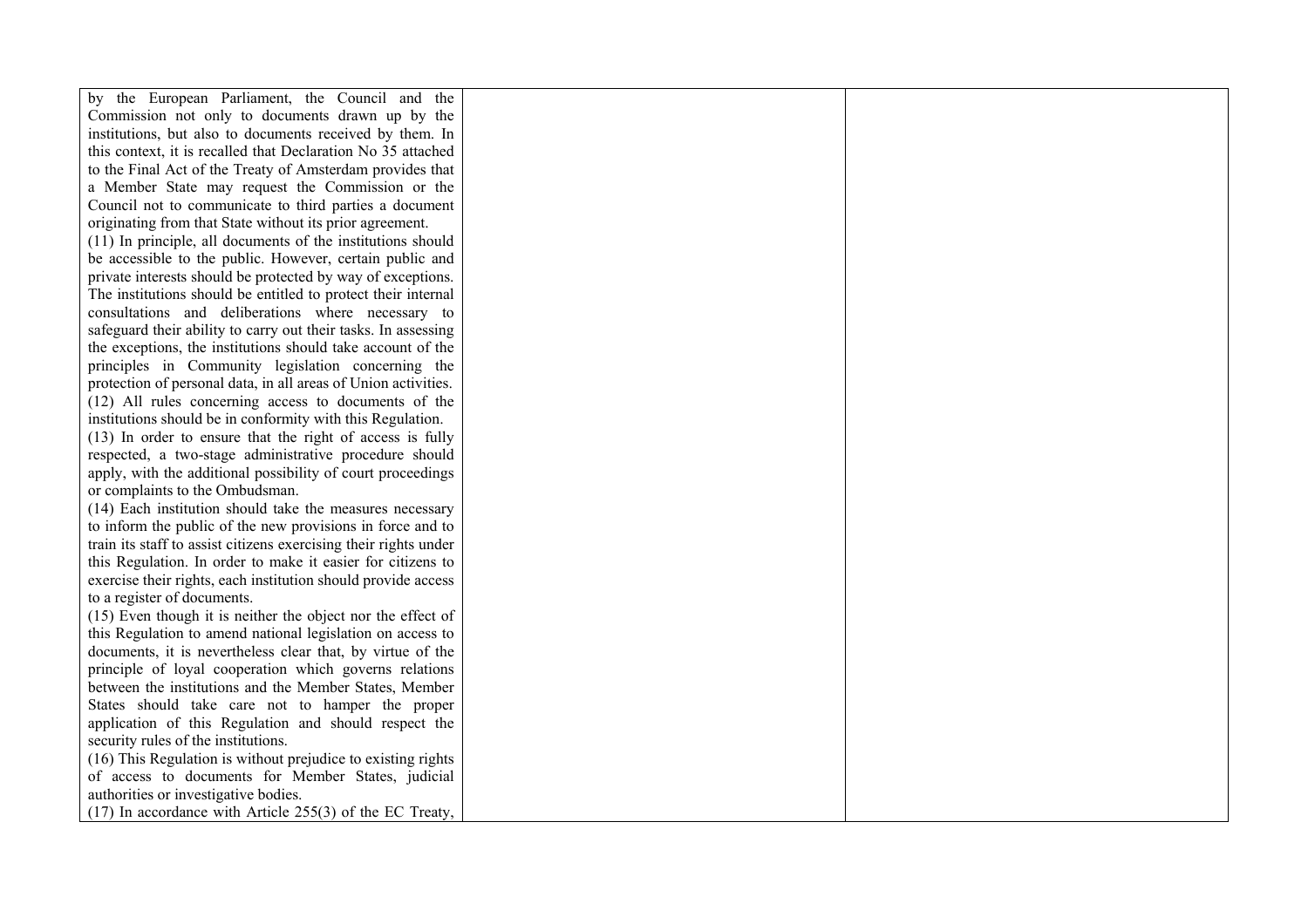| by the European Parliament, the Council and the                  |  |
|------------------------------------------------------------------|--|
| Commission not only to documents drawn up by the                 |  |
| institutions, but also to documents received by them. In         |  |
| this context, it is recalled that Declaration No 35 attached     |  |
| to the Final Act of the Treaty of Amsterdam provides that        |  |
| a Member State may request the Commission or the                 |  |
| Council not to communicate to third parties a document           |  |
| originating from that State without its prior agreement.         |  |
| (11) In principle, all documents of the institutions should      |  |
| be accessible to the public. However, certain public and         |  |
| private interests should be protected by way of exceptions.      |  |
| The institutions should be entitled to protect their internal    |  |
| consultations and deliberations where necessary to               |  |
| safeguard their ability to carry out their tasks. In assessing   |  |
| the exceptions, the institutions should take account of the      |  |
| principles in Community legislation concerning the               |  |
| protection of personal data, in all areas of Union activities.   |  |
| (12) All rules concerning access to documents of the             |  |
| institutions should be in conformity with this Regulation.       |  |
| (13) In order to ensure that the right of access is fully        |  |
| respected, a two-stage administrative procedure should           |  |
| apply, with the additional possibility of court proceedings      |  |
| or complaints to the Ombudsman.                                  |  |
| (14) Each institution should take the measures necessary         |  |
| to inform the public of the new provisions in force and to       |  |
| train its staff to assist citizens exercising their rights under |  |
| this Regulation. In order to make it easier for citizens to      |  |
| exercise their rights, each institution should provide access    |  |
| to a register of documents.                                      |  |
| (15) Even though it is neither the object nor the effect of      |  |
| this Regulation to amend national legislation on access to       |  |
| documents, it is nevertheless clear that, by virtue of the       |  |
| principle of loyal cooperation which governs relations           |  |
| between the institutions and the Member States, Member           |  |
| States should take care not to hamper the proper                 |  |
| application of this Regulation and should respect the            |  |
| security rules of the institutions.                              |  |
| (16) This Regulation is without prejudice to existing rights     |  |
| of access to documents for Member States, judicial               |  |
| authorities or investigative bodies.                             |  |
| $(17)$ In accordance with Article 255(3) of the EC Treaty,       |  |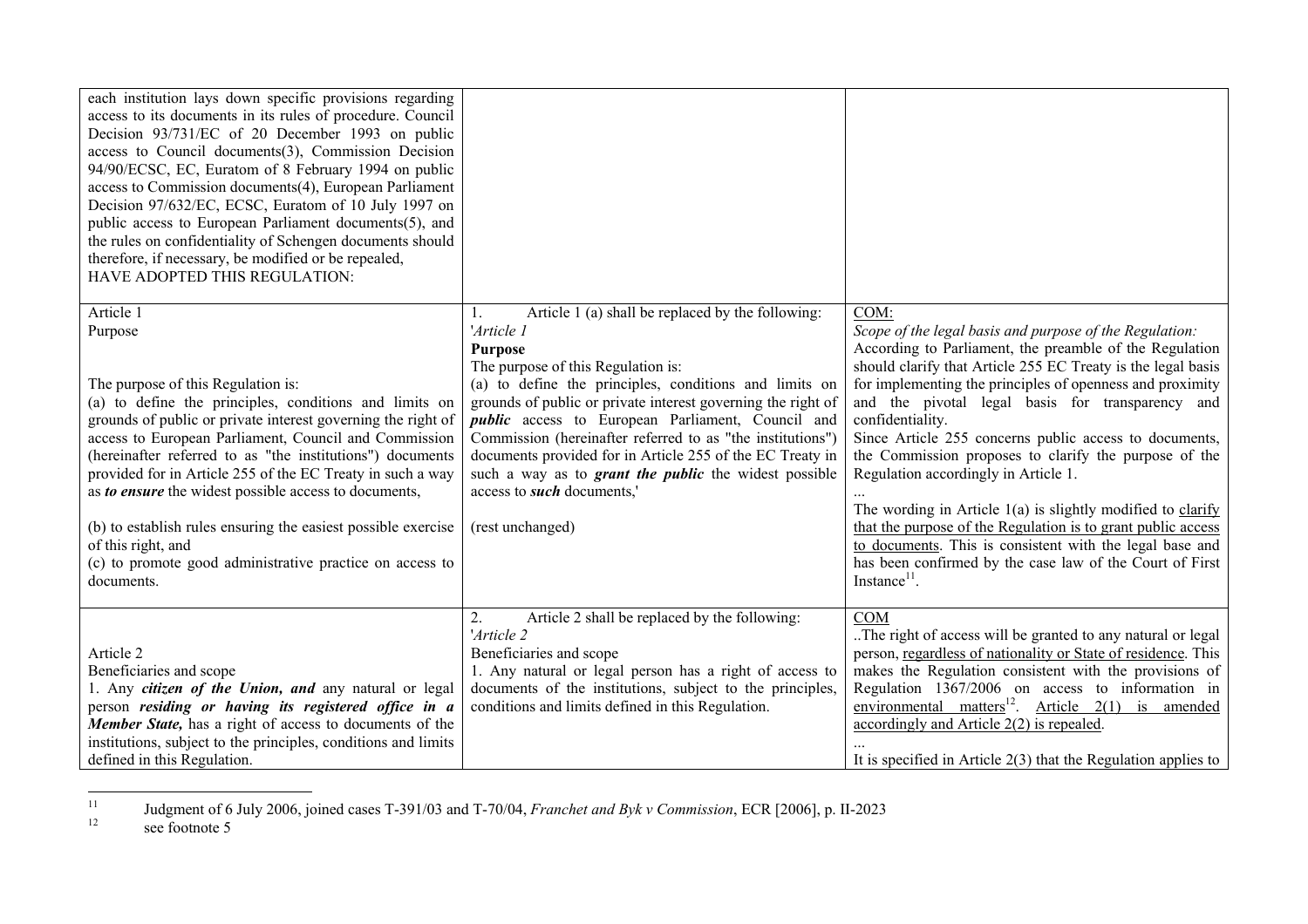| each institution lays down specific provisions regarding<br>access to its documents in its rules of procedure. Council<br>Decision 93/731/EC of 20 December 1993 on public<br>access to Council documents(3), Commission Decision<br>94/90/ECSC, EC, Euratom of 8 February 1994 on public<br>access to Commission documents(4), European Parliament<br>Decision 97/632/EC, ECSC, Euratom of 10 July 1997 on<br>public access to European Parliament documents(5), and<br>the rules on confidentiality of Schengen documents should<br>therefore, if necessary, be modified or be repealed,<br>HAVE ADOPTED THIS REGULATION: |                                                                                                                                                                                                                                                                                                                                                                                                                                        |                                                                                                                                                                                                                                                                                                                                                                                                                                                                                                                                                                         |
|-----------------------------------------------------------------------------------------------------------------------------------------------------------------------------------------------------------------------------------------------------------------------------------------------------------------------------------------------------------------------------------------------------------------------------------------------------------------------------------------------------------------------------------------------------------------------------------------------------------------------------|----------------------------------------------------------------------------------------------------------------------------------------------------------------------------------------------------------------------------------------------------------------------------------------------------------------------------------------------------------------------------------------------------------------------------------------|-------------------------------------------------------------------------------------------------------------------------------------------------------------------------------------------------------------------------------------------------------------------------------------------------------------------------------------------------------------------------------------------------------------------------------------------------------------------------------------------------------------------------------------------------------------------------|
| Article 1<br>Purpose                                                                                                                                                                                                                                                                                                                                                                                                                                                                                                                                                                                                        | Article 1 (a) shall be replaced by the following:<br>'Article 1<br><b>Purpose</b><br>The purpose of this Regulation is:                                                                                                                                                                                                                                                                                                                | COM:<br>Scope of the legal basis and purpose of the Regulation:<br>According to Parliament, the preamble of the Regulation<br>should clarify that Article 255 EC Treaty is the legal basis                                                                                                                                                                                                                                                                                                                                                                              |
| The purpose of this Regulation is:<br>(a) to define the principles, conditions and limits on<br>grounds of public or private interest governing the right of<br>access to European Parliament, Council and Commission<br>(hereinafter referred to as "the institutions") documents<br>provided for in Article 255 of the EC Treaty in such a way<br>as to ensure the widest possible access to documents,<br>(b) to establish rules ensuring the easiest possible exercise<br>of this right, and<br>(c) to promote good administrative practice on access to<br>documents.                                                  | (a) to define the principles, conditions and limits on<br>grounds of public or private interest governing the right of<br><i>public</i> access to European Parliament, Council and<br>Commission (hereinafter referred to as "the institutions")<br>documents provided for in Article 255 of the EC Treaty in<br>such a way as to <i>grant the public</i> the widest possible<br>access to <i>such</i> documents,'<br>(rest unchanged) | for implementing the principles of openness and proximity<br>and the pivotal legal basis for transparency and<br>confidentiality.<br>Since Article 255 concerns public access to documents,<br>the Commission proposes to clarify the purpose of the<br>Regulation accordingly in Article 1.<br>The wording in Article $1(a)$ is slightly modified to clarify<br>that the purpose of the Regulation is to grant public access<br>to documents. This is consistent with the legal base and<br>has been confirmed by the case law of the Court of First<br>$Instance11$ . |
| Article 2<br>Beneficiaries and scope<br>1. Any citizen of the Union, and any natural or legal<br>person residing or having its registered office in a<br>Member State, has a right of access to documents of the<br>institutions, subject to the principles, conditions and limits<br>defined in this Regulation.                                                                                                                                                                                                                                                                                                           | Article 2 shall be replaced by the following:<br>2.<br>'Article 2<br>Beneficiaries and scope<br>1. Any natural or legal person has a right of access to<br>documents of the institutions, subject to the principles,<br>conditions and limits defined in this Regulation.                                                                                                                                                              | <b>COM</b><br>The right of access will be granted to any natural or legal<br>person, regardless of nationality or State of residence. This<br>makes the Regulation consistent with the provisions of<br>Regulation 1367/2006 on access to information in<br>environmental matters <sup>12</sup> . Article $2(1)$ is amended<br>accordingly and Article $2(2)$ is repealed.<br>It is specified in Article $2(3)$ that the Regulation applies to                                                                                                                          |

<sup>11</sup> Judgment of 6 July 2006, joined cases T-391/03 and T-70/04, *Franchet and Byk v Commission*, ECR [2006], p. II-2023  $12$  see footnote 5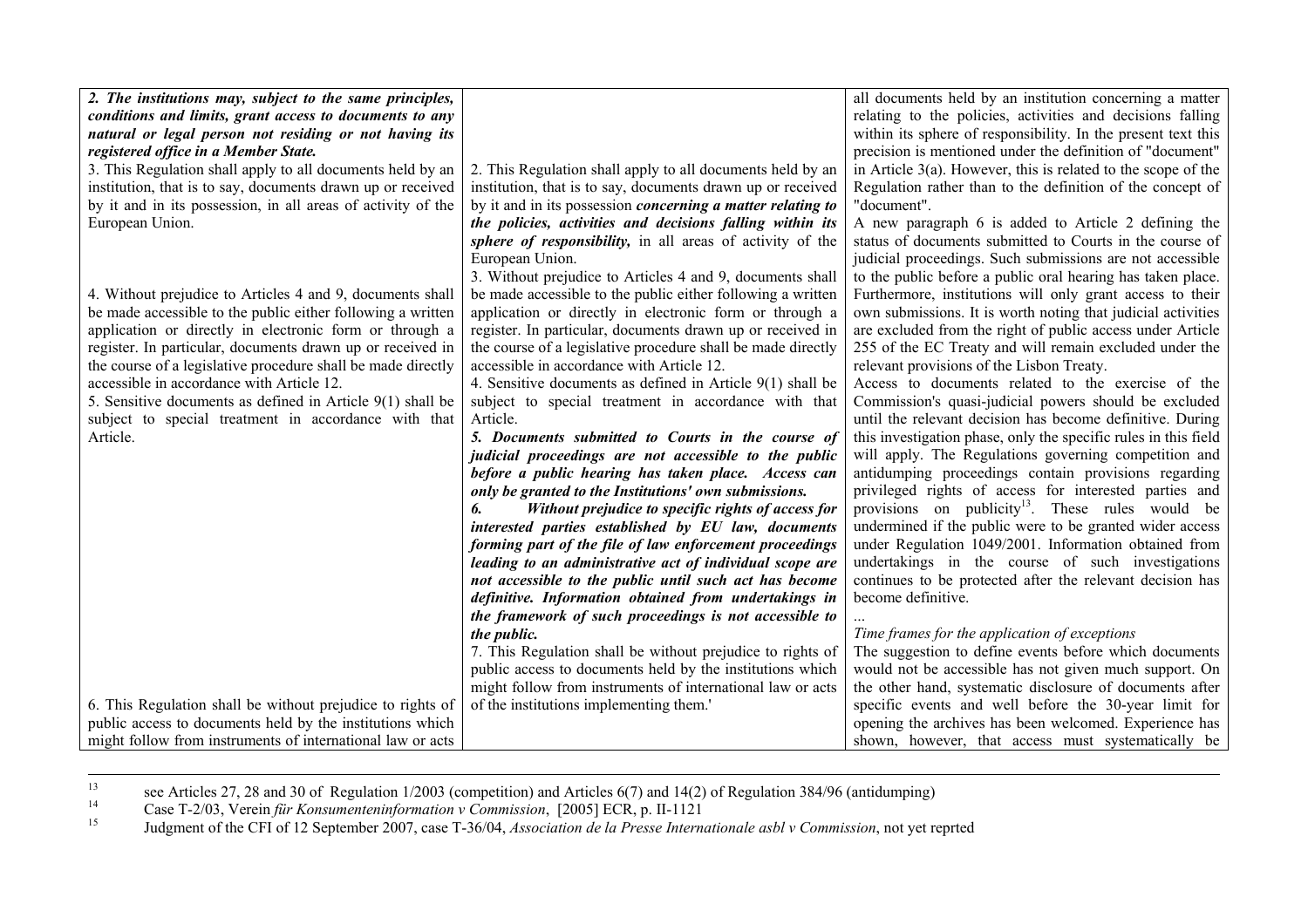| 2. The institutions may, subject to the same principles,     |                                                                    | all documents held by an institution concerning a matter         |
|--------------------------------------------------------------|--------------------------------------------------------------------|------------------------------------------------------------------|
| conditions and limits, grant access to documents to any      |                                                                    | relating to the policies, activities and decisions falling       |
| natural or legal person not residing or not having its       |                                                                    | within its sphere of responsibility. In the present text this    |
| registered office in a Member State.                         |                                                                    | precision is mentioned under the definition of "document"        |
| 3. This Regulation shall apply to all documents held by an   | 2. This Regulation shall apply to all documents held by an         | in Article $3(a)$ . However, this is related to the scope of the |
| institution, that is to say, documents drawn up or received  | institution, that is to say, documents drawn up or received        | Regulation rather than to the definition of the concept of       |
| by it and in its possession, in all areas of activity of the | by it and in its possession <i>concerning a matter relating to</i> | "document".                                                      |
| European Union.                                              | the policies, activities and decisions falling within its          | A new paragraph 6 is added to Article 2 defining the             |
|                                                              | sphere of responsibility, in all areas of activity of the          | status of documents submitted to Courts in the course of         |
|                                                              | European Union.                                                    | judicial proceedings. Such submissions are not accessible        |
|                                                              | 3. Without prejudice to Articles 4 and 9, documents shall          | to the public before a public oral hearing has taken place.      |
| 4. Without prejudice to Articles 4 and 9, documents shall    | be made accessible to the public either following a written        | Furthermore, institutions will only grant access to their        |
| be made accessible to the public either following a written  | application or directly in electronic form or through a            | own submissions. It is worth noting that judicial activities     |
| application or directly in electronic form or through a      | register. In particular, documents drawn up or received in         | are excluded from the right of public access under Article       |
| register. In particular, documents drawn up or received in   | the course of a legislative procedure shall be made directly       | 255 of the EC Treaty and will remain excluded under the          |
| the course of a legislative procedure shall be made directly | accessible in accordance with Article 12.                          | relevant provisions of the Lisbon Treaty.                        |
| accessible in accordance with Article 12.                    | 4. Sensitive documents as defined in Article 9(1) shall be         | Access to documents related to the exercise of the               |
| 5. Sensitive documents as defined in Article $9(1)$ shall be | subject to special treatment in accordance with that               | Commission's quasi-judicial powers should be excluded            |
| subject to special treatment in accordance with that         | Article.                                                           | until the relevant decision has become definitive. During        |
| Article.                                                     | 5. Documents submitted to Courts in the course of                  | this investigation phase, only the specific rules in this field  |
|                                                              | judicial proceedings are not accessible to the public              | will apply. The Regulations governing competition and            |
|                                                              | before a public hearing has taken place. Access can                | antidumping proceedings contain provisions regarding             |
|                                                              | only be granted to the Institutions' own submissions.              | privileged rights of access for interested parties and           |
|                                                              | Without prejudice to specific rights of access for                 | provisions on publicity <sup>13</sup> . These rules would be     |
|                                                              | interested parties established by EU law, documents                | undermined if the public were to be granted wider access         |
|                                                              | forming part of the file of law enforcement proceedings            | under Regulation 1049/2001. Information obtained from            |
|                                                              | leading to an administrative act of individual scope are           | undertakings in the course of such investigations                |
|                                                              | not accessible to the public until such act has become             | continues to be protected after the relevant decision has        |
|                                                              | definitive. Information obtained from undertakings in              | become definitive.                                               |
|                                                              | the framework of such proceedings is not accessible to             |                                                                  |
|                                                              | the public.                                                        | Time frames for the application of exceptions                    |
|                                                              | 7. This Regulation shall be without prejudice to rights of         | The suggestion to define events before which documents           |
|                                                              | public access to documents held by the institutions which          | would not be accessible has not given much support. On           |
|                                                              | might follow from instruments of international law or acts         | the other hand, systematic disclosure of documents after         |
| 6. This Regulation shall be without prejudice to rights of   | of the institutions implementing them.                             | specific events and well before the 30-year limit for            |
| public access to documents held by the institutions which    |                                                                    | opening the archives has been welcomed. Experience has           |
| might follow from instruments of international law or acts   |                                                                    | shown, however, that access must systematically be               |

<sup>13</sup> see Articles 27, 28 and 30 of Regulation 1/2003 (competition) and Articles 6(7) and 14(2) of Regulation 384/96 (antidumping)

14 Case T-2/03, Verein *für Konsumenteninformation v Commission*, [2005] ECR, p. II-1121

15 Judgment of the CFI of 12 September 2007, case T-36/04, *Association de la Presse Internationale asbl v Commission*, not yet reprted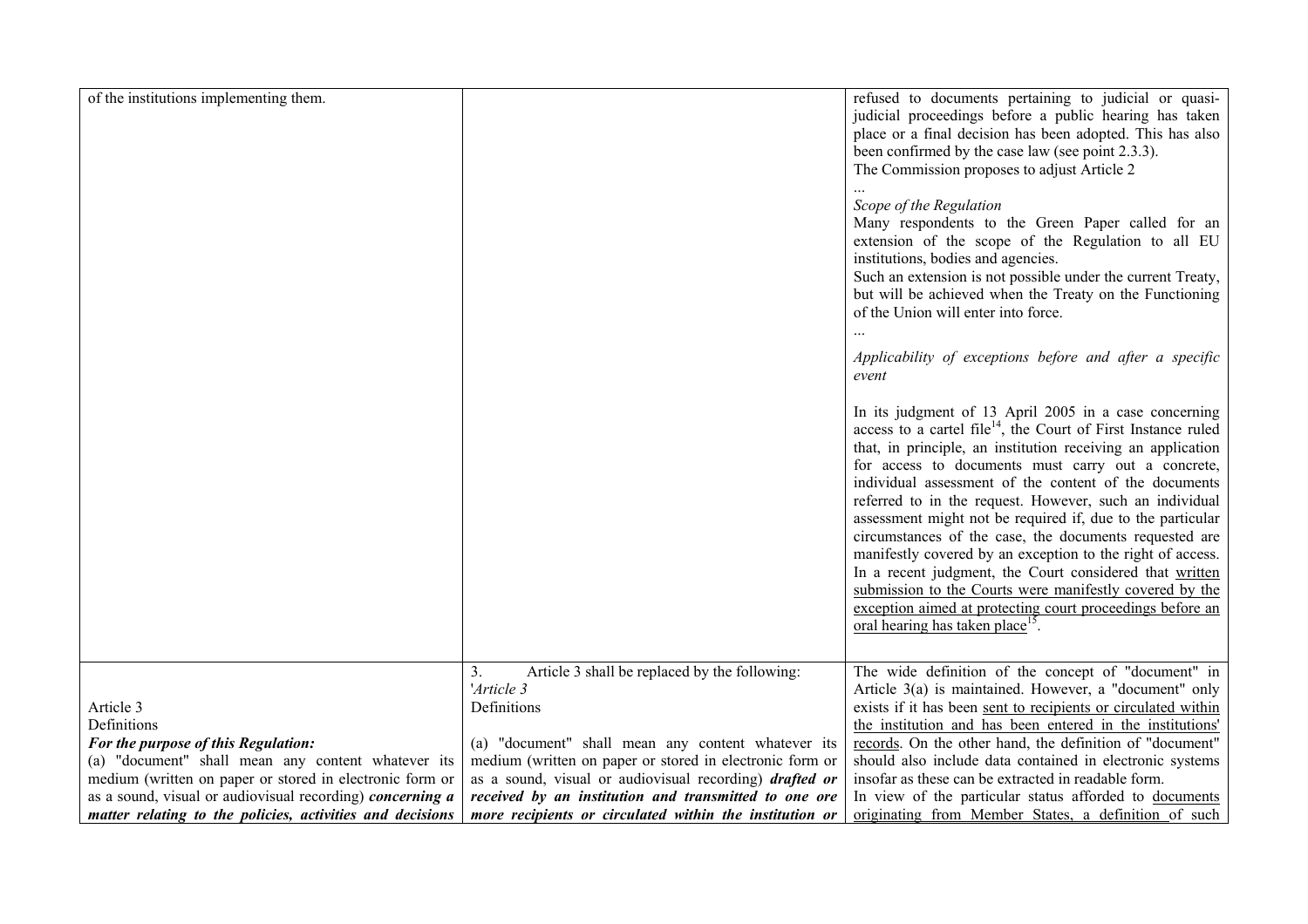| of the institutions implementing them.                                                                         |                                                                                                                         | refused to documents pertaining to judicial or quasi-<br>judicial proceedings before a public hearing has taken<br>place or a final decision has been adopted. This has also<br>been confirmed by the case law (see point 2.3.3).<br>The Commission proposes to adjust Article 2<br>Scope of the Regulation<br>Many respondents to the Green Paper called for an<br>extension of the scope of the Regulation to all EU<br>institutions, bodies and agencies.<br>Such an extension is not possible under the current Treaty,<br>but will be achieved when the Treaty on the Functioning<br>of the Union will enter into force.<br>Applicability of exceptions before and after a specific<br>event<br>In its judgment of 13 April 2005 in a case concerning<br>access to a cartel file <sup>14</sup> , the Court of First Instance ruled<br>that, in principle, an institution receiving an application<br>for access to documents must carry out a concrete,<br>individual assessment of the content of the documents<br>referred to in the request. However, such an individual<br>assessment might not be required if, due to the particular<br>circumstances of the case, the documents requested are<br>manifestly covered by an exception to the right of access.<br>In a recent judgment, the Court considered that written<br>submission to the Courts were manifestly covered by the<br>exception aimed at protecting court proceedings before an<br>oral hearing has taken place <sup>15</sup> . |
|----------------------------------------------------------------------------------------------------------------|-------------------------------------------------------------------------------------------------------------------------|-----------------------------------------------------------------------------------------------------------------------------------------------------------------------------------------------------------------------------------------------------------------------------------------------------------------------------------------------------------------------------------------------------------------------------------------------------------------------------------------------------------------------------------------------------------------------------------------------------------------------------------------------------------------------------------------------------------------------------------------------------------------------------------------------------------------------------------------------------------------------------------------------------------------------------------------------------------------------------------------------------------------------------------------------------------------------------------------------------------------------------------------------------------------------------------------------------------------------------------------------------------------------------------------------------------------------------------------------------------------------------------------------------------------------------------------------------------------------------------------------------------|
| Article 3<br>Definitions                                                                                       | Article 3 shall be replaced by the following:<br>3.<br>'Article 3<br>Definitions                                        | The wide definition of the concept of "document" in<br>Article 3(a) is maintained. However, a "document" only<br>exists if it has been sent to recipients or circulated within<br>the institution and has been entered in the institutions'                                                                                                                                                                                                                                                                                                                                                                                                                                                                                                                                                                                                                                                                                                                                                                                                                                                                                                                                                                                                                                                                                                                                                                                                                                                               |
| For the purpose of this Regulation:                                                                            | (a) "document" shall mean any content whatever its                                                                      | records. On the other hand, the definition of "document"                                                                                                                                                                                                                                                                                                                                                                                                                                                                                                                                                                                                                                                                                                                                                                                                                                                                                                                                                                                                                                                                                                                                                                                                                                                                                                                                                                                                                                                  |
| (a) "document" shall mean any content whatever its<br>medium (written on paper or stored in electronic form or | medium (written on paper or stored in electronic form or                                                                | should also include data contained in electronic systems<br>insofar as these can be extracted in readable form.                                                                                                                                                                                                                                                                                                                                                                                                                                                                                                                                                                                                                                                                                                                                                                                                                                                                                                                                                                                                                                                                                                                                                                                                                                                                                                                                                                                           |
| as a sound, visual or audiovisual recording) concerning a                                                      | as a sound, visual or audiovisual recording) <i>drafted or</i><br>received by an institution and transmitted to one ore | In view of the particular status afforded to documents                                                                                                                                                                                                                                                                                                                                                                                                                                                                                                                                                                                                                                                                                                                                                                                                                                                                                                                                                                                                                                                                                                                                                                                                                                                                                                                                                                                                                                                    |
| matter relating to the policies, activities and decisions                                                      | more recipients or circulated within the institution or                                                                 | originating from Member States, a definition of such                                                                                                                                                                                                                                                                                                                                                                                                                                                                                                                                                                                                                                                                                                                                                                                                                                                                                                                                                                                                                                                                                                                                                                                                                                                                                                                                                                                                                                                      |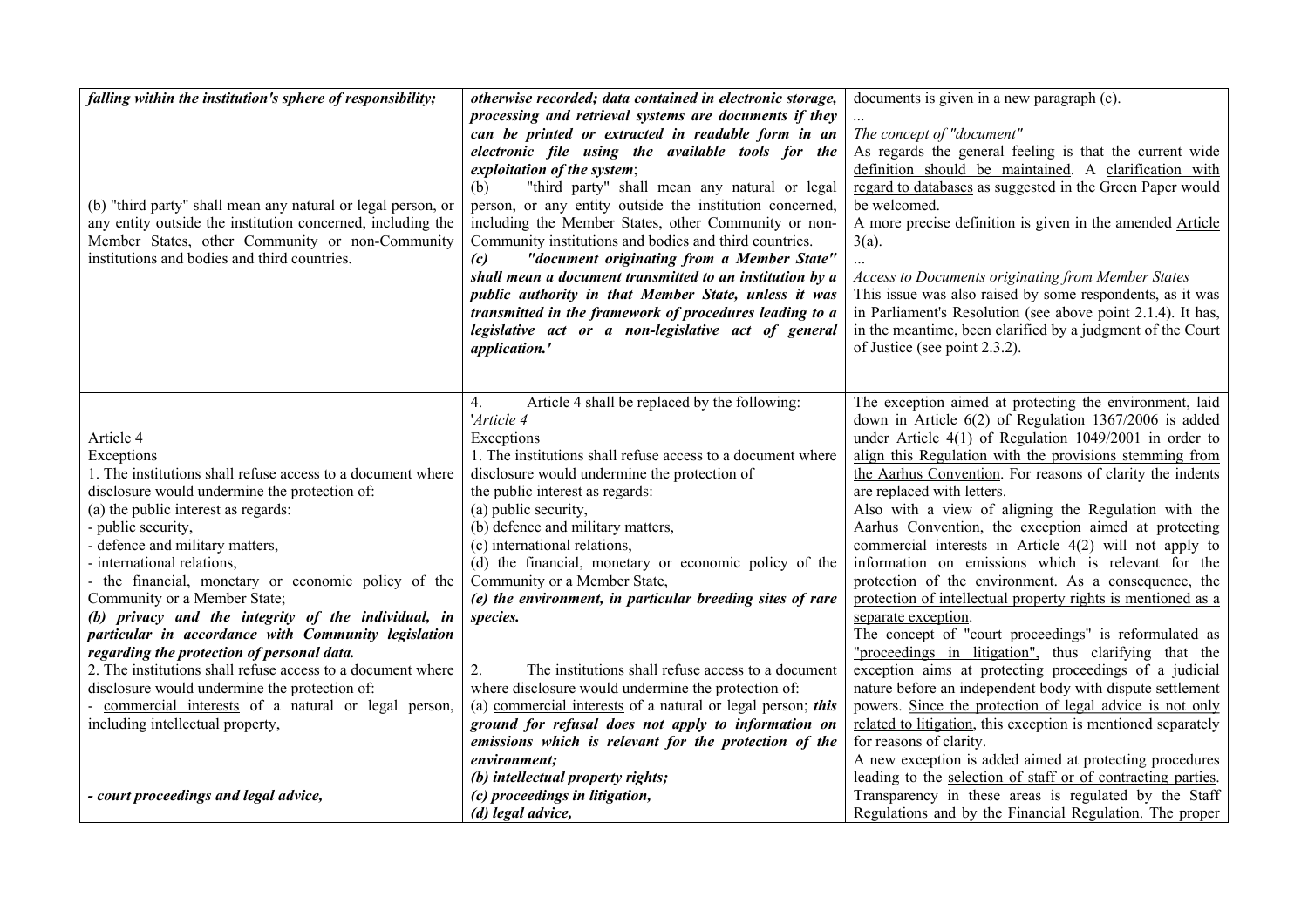| processing and retrieval systems are documents if they<br>The concept of "document"<br>can be printed or extracted in readable form in an<br>As regards the general feeling is that the current wide<br>electronic file using the available tools for the<br>definition should be maintained. A clarification with<br>exploitation of the system;<br>regard to databases as suggested in the Green Paper would<br>"third party" shall mean any natural or legal<br>(b)<br>be welcomed.<br>person, or any entity outside the institution concerned,<br>(b) "third party" shall mean any natural or legal person, or<br>any entity outside the institution concerned, including the<br>including the Member States, other Community or non-<br>A more precise definition is given in the amended Article<br>Member States, other Community or non-Community<br>Community institutions and bodies and third countries.<br>$\frac{3(a)}{2}$<br>institutions and bodies and third countries.<br>"document originating from a Member State"<br>(c)<br>shall mean a document transmitted to an institution by a<br><b>Access to Documents originating from Member States</b><br>This issue was also raised by some respondents, as it was<br>public authority in that Member State, unless it was<br>transmitted in the framework of procedures leading to a<br>in Parliament's Resolution (see above point 2.1.4). It has,<br>in the meantime, been clarified by a judgment of the Court<br>legislative act or a non-legislative act of general<br>of Justice (see point 2.3.2).<br>application.'<br>Article 4 shall be replaced by the following:<br>The exception aimed at protecting the environment, laid<br>4.<br>'Article 4<br>down in Article $6(2)$ of Regulation 1367/2006 is added<br>Article 4<br>under Article $4(1)$ of Regulation 1049/2001 in order to<br>Exceptions<br>1. The institutions shall refuse access to a document where<br>align this Regulation with the provisions stemming from<br>Exceptions<br>disclosure would undermine the protection of<br>the Aarhus Convention. For reasons of clarity the indents<br>1. The institutions shall refuse access to a document where<br>disclosure would undermine the protection of:<br>are replaced with letters.<br>the public interest as regards:<br>(a) public security,<br>Also with a view of aligning the Regulation with the<br>(a) the public interest as regards:<br>Aarhus Convention, the exception aimed at protecting<br>- public security,<br>(b) defence and military matters,<br>- defence and military matters,<br>commercial interests in Article 4(2) will not apply to<br>(c) international relations,<br>(d) the financial, monetary or economic policy of the<br>information on emissions which is relevant for the<br>- international relations,<br>Community or a Member State,<br>- the financial, monetary or economic policy of the<br>protection of the environment. As a consequence, the<br>Community or a Member State;<br>(e) the environment, in particular breeding sites of rare<br>protection of intellectual property rights is mentioned as a<br>(b) privacy and the integrity of the individual, in<br>separate exception.<br>species.<br>The concept of "court proceedings" is reformulated as<br>particular in accordance with Community legislation<br>"proceedings in litigation", thus clarifying that the<br>regarding the protection of personal data.<br>2. The institutions shall refuse access to a document where<br>The institutions shall refuse access to a document<br>exception aims at protecting proceedings of a judicial<br>2.<br>disclosure would undermine the protection of:<br>where disclosure would undermine the protection of:<br>nature before an independent body with dispute settlement<br>- commercial interests of a natural or legal person,<br>(a) commercial interests of a natural or legal person; this<br>powers. Since the protection of legal advice is not only<br>including intellectual property,<br>ground for refusal does not apply to information on<br>related to litigation, this exception is mentioned separately<br>for reasons of clarity.<br>emissions which is relevant for the protection of the<br>A new exception is added aimed at protecting procedures<br>environment;<br>leading to the selection of staff or of contracting parties.<br>(b) intellectual property rights;<br>Transparency in these areas is regulated by the Staff<br>(c) proceedings in litigation,<br>- court proceedings and legal advice, | falling within the institution's sphere of responsibility; | otherwise recorded; data contained in electronic storage, | documents is given in a new paragraph (c).              |
|---------------------------------------------------------------------------------------------------------------------------------------------------------------------------------------------------------------------------------------------------------------------------------------------------------------------------------------------------------------------------------------------------------------------------------------------------------------------------------------------------------------------------------------------------------------------------------------------------------------------------------------------------------------------------------------------------------------------------------------------------------------------------------------------------------------------------------------------------------------------------------------------------------------------------------------------------------------------------------------------------------------------------------------------------------------------------------------------------------------------------------------------------------------------------------------------------------------------------------------------------------------------------------------------------------------------------------------------------------------------------------------------------------------------------------------------------------------------------------------------------------------------------------------------------------------------------------------------------------------------------------------------------------------------------------------------------------------------------------------------------------------------------------------------------------------------------------------------------------------------------------------------------------------------------------------------------------------------------------------------------------------------------------------------------------------------------------------------------------------------------------------------------------------------------------------------------------------------------------------------------------------------------------------------------------------------------------------------------------------------------------------------------------------------------------------------------------------------------------------------------------------------------------------------------------------------------------------------------------------------------------------------------------------------------------------------------------------------------------------------------------------------------------------------------------------------------------------------------------------------------------------------------------------------------------------------------------------------------------------------------------------------------------------------------------------------------------------------------------------------------------------------------------------------------------------------------------------------------------------------------------------------------------------------------------------------------------------------------------------------------------------------------------------------------------------------------------------------------------------------------------------------------------------------------------------------------------------------------------------------------------------------------------------------------------------------------------------------------------------------------------------------------------------------------------------------------------------------------------------------------------------------------------------------------------------------------------------------------------------------------------------------------------------------------------------------------------------------------------------------------------------------------------------------------------------------------------------------------------------------------------------------------------------------------------------------------------------------------------------------------------------------------------------------------------------------------------------------------------------------------------------------------------------------------------------------------------------|------------------------------------------------------------|-----------------------------------------------------------|---------------------------------------------------------|
|                                                                                                                                                                                                                                                                                                                                                                                                                                                                                                                                                                                                                                                                                                                                                                                                                                                                                                                                                                                                                                                                                                                                                                                                                                                                                                                                                                                                                                                                                                                                                                                                                                                                                                                                                                                                                                                                                                                                                                                                                                                                                                                                                                                                                                                                                                                                                                                                                                                                                                                                                                                                                                                                                                                                                                                                                                                                                                                                                                                                                                                                                                                                                                                                                                                                                                                                                                                                                                                                                                                                                                                                                                                                                                                                                                                                                                                                                                                                                                                                                                                                                                                                                                                                                                                                                                                                                                                                                                                                                                                                                                                       |                                                            |                                                           |                                                         |
|                                                                                                                                                                                                                                                                                                                                                                                                                                                                                                                                                                                                                                                                                                                                                                                                                                                                                                                                                                                                                                                                                                                                                                                                                                                                                                                                                                                                                                                                                                                                                                                                                                                                                                                                                                                                                                                                                                                                                                                                                                                                                                                                                                                                                                                                                                                                                                                                                                                                                                                                                                                                                                                                                                                                                                                                                                                                                                                                                                                                                                                                                                                                                                                                                                                                                                                                                                                                                                                                                                                                                                                                                                                                                                                                                                                                                                                                                                                                                                                                                                                                                                                                                                                                                                                                                                                                                                                                                                                                                                                                                                                       |                                                            |                                                           |                                                         |
|                                                                                                                                                                                                                                                                                                                                                                                                                                                                                                                                                                                                                                                                                                                                                                                                                                                                                                                                                                                                                                                                                                                                                                                                                                                                                                                                                                                                                                                                                                                                                                                                                                                                                                                                                                                                                                                                                                                                                                                                                                                                                                                                                                                                                                                                                                                                                                                                                                                                                                                                                                                                                                                                                                                                                                                                                                                                                                                                                                                                                                                                                                                                                                                                                                                                                                                                                                                                                                                                                                                                                                                                                                                                                                                                                                                                                                                                                                                                                                                                                                                                                                                                                                                                                                                                                                                                                                                                                                                                                                                                                                                       |                                                            |                                                           |                                                         |
|                                                                                                                                                                                                                                                                                                                                                                                                                                                                                                                                                                                                                                                                                                                                                                                                                                                                                                                                                                                                                                                                                                                                                                                                                                                                                                                                                                                                                                                                                                                                                                                                                                                                                                                                                                                                                                                                                                                                                                                                                                                                                                                                                                                                                                                                                                                                                                                                                                                                                                                                                                                                                                                                                                                                                                                                                                                                                                                                                                                                                                                                                                                                                                                                                                                                                                                                                                                                                                                                                                                                                                                                                                                                                                                                                                                                                                                                                                                                                                                                                                                                                                                                                                                                                                                                                                                                                                                                                                                                                                                                                                                       |                                                            |                                                           |                                                         |
|                                                                                                                                                                                                                                                                                                                                                                                                                                                                                                                                                                                                                                                                                                                                                                                                                                                                                                                                                                                                                                                                                                                                                                                                                                                                                                                                                                                                                                                                                                                                                                                                                                                                                                                                                                                                                                                                                                                                                                                                                                                                                                                                                                                                                                                                                                                                                                                                                                                                                                                                                                                                                                                                                                                                                                                                                                                                                                                                                                                                                                                                                                                                                                                                                                                                                                                                                                                                                                                                                                                                                                                                                                                                                                                                                                                                                                                                                                                                                                                                                                                                                                                                                                                                                                                                                                                                                                                                                                                                                                                                                                                       |                                                            |                                                           |                                                         |
|                                                                                                                                                                                                                                                                                                                                                                                                                                                                                                                                                                                                                                                                                                                                                                                                                                                                                                                                                                                                                                                                                                                                                                                                                                                                                                                                                                                                                                                                                                                                                                                                                                                                                                                                                                                                                                                                                                                                                                                                                                                                                                                                                                                                                                                                                                                                                                                                                                                                                                                                                                                                                                                                                                                                                                                                                                                                                                                                                                                                                                                                                                                                                                                                                                                                                                                                                                                                                                                                                                                                                                                                                                                                                                                                                                                                                                                                                                                                                                                                                                                                                                                                                                                                                                                                                                                                                                                                                                                                                                                                                                                       |                                                            |                                                           |                                                         |
|                                                                                                                                                                                                                                                                                                                                                                                                                                                                                                                                                                                                                                                                                                                                                                                                                                                                                                                                                                                                                                                                                                                                                                                                                                                                                                                                                                                                                                                                                                                                                                                                                                                                                                                                                                                                                                                                                                                                                                                                                                                                                                                                                                                                                                                                                                                                                                                                                                                                                                                                                                                                                                                                                                                                                                                                                                                                                                                                                                                                                                                                                                                                                                                                                                                                                                                                                                                                                                                                                                                                                                                                                                                                                                                                                                                                                                                                                                                                                                                                                                                                                                                                                                                                                                                                                                                                                                                                                                                                                                                                                                                       |                                                            |                                                           |                                                         |
|                                                                                                                                                                                                                                                                                                                                                                                                                                                                                                                                                                                                                                                                                                                                                                                                                                                                                                                                                                                                                                                                                                                                                                                                                                                                                                                                                                                                                                                                                                                                                                                                                                                                                                                                                                                                                                                                                                                                                                                                                                                                                                                                                                                                                                                                                                                                                                                                                                                                                                                                                                                                                                                                                                                                                                                                                                                                                                                                                                                                                                                                                                                                                                                                                                                                                                                                                                                                                                                                                                                                                                                                                                                                                                                                                                                                                                                                                                                                                                                                                                                                                                                                                                                                                                                                                                                                                                                                                                                                                                                                                                                       |                                                            |                                                           |                                                         |
|                                                                                                                                                                                                                                                                                                                                                                                                                                                                                                                                                                                                                                                                                                                                                                                                                                                                                                                                                                                                                                                                                                                                                                                                                                                                                                                                                                                                                                                                                                                                                                                                                                                                                                                                                                                                                                                                                                                                                                                                                                                                                                                                                                                                                                                                                                                                                                                                                                                                                                                                                                                                                                                                                                                                                                                                                                                                                                                                                                                                                                                                                                                                                                                                                                                                                                                                                                                                                                                                                                                                                                                                                                                                                                                                                                                                                                                                                                                                                                                                                                                                                                                                                                                                                                                                                                                                                                                                                                                                                                                                                                                       |                                                            |                                                           |                                                         |
|                                                                                                                                                                                                                                                                                                                                                                                                                                                                                                                                                                                                                                                                                                                                                                                                                                                                                                                                                                                                                                                                                                                                                                                                                                                                                                                                                                                                                                                                                                                                                                                                                                                                                                                                                                                                                                                                                                                                                                                                                                                                                                                                                                                                                                                                                                                                                                                                                                                                                                                                                                                                                                                                                                                                                                                                                                                                                                                                                                                                                                                                                                                                                                                                                                                                                                                                                                                                                                                                                                                                                                                                                                                                                                                                                                                                                                                                                                                                                                                                                                                                                                                                                                                                                                                                                                                                                                                                                                                                                                                                                                                       |                                                            |                                                           |                                                         |
|                                                                                                                                                                                                                                                                                                                                                                                                                                                                                                                                                                                                                                                                                                                                                                                                                                                                                                                                                                                                                                                                                                                                                                                                                                                                                                                                                                                                                                                                                                                                                                                                                                                                                                                                                                                                                                                                                                                                                                                                                                                                                                                                                                                                                                                                                                                                                                                                                                                                                                                                                                                                                                                                                                                                                                                                                                                                                                                                                                                                                                                                                                                                                                                                                                                                                                                                                                                                                                                                                                                                                                                                                                                                                                                                                                                                                                                                                                                                                                                                                                                                                                                                                                                                                                                                                                                                                                                                                                                                                                                                                                                       |                                                            |                                                           |                                                         |
|                                                                                                                                                                                                                                                                                                                                                                                                                                                                                                                                                                                                                                                                                                                                                                                                                                                                                                                                                                                                                                                                                                                                                                                                                                                                                                                                                                                                                                                                                                                                                                                                                                                                                                                                                                                                                                                                                                                                                                                                                                                                                                                                                                                                                                                                                                                                                                                                                                                                                                                                                                                                                                                                                                                                                                                                                                                                                                                                                                                                                                                                                                                                                                                                                                                                                                                                                                                                                                                                                                                                                                                                                                                                                                                                                                                                                                                                                                                                                                                                                                                                                                                                                                                                                                                                                                                                                                                                                                                                                                                                                                                       |                                                            |                                                           |                                                         |
|                                                                                                                                                                                                                                                                                                                                                                                                                                                                                                                                                                                                                                                                                                                                                                                                                                                                                                                                                                                                                                                                                                                                                                                                                                                                                                                                                                                                                                                                                                                                                                                                                                                                                                                                                                                                                                                                                                                                                                                                                                                                                                                                                                                                                                                                                                                                                                                                                                                                                                                                                                                                                                                                                                                                                                                                                                                                                                                                                                                                                                                                                                                                                                                                                                                                                                                                                                                                                                                                                                                                                                                                                                                                                                                                                                                                                                                                                                                                                                                                                                                                                                                                                                                                                                                                                                                                                                                                                                                                                                                                                                                       |                                                            |                                                           |                                                         |
|                                                                                                                                                                                                                                                                                                                                                                                                                                                                                                                                                                                                                                                                                                                                                                                                                                                                                                                                                                                                                                                                                                                                                                                                                                                                                                                                                                                                                                                                                                                                                                                                                                                                                                                                                                                                                                                                                                                                                                                                                                                                                                                                                                                                                                                                                                                                                                                                                                                                                                                                                                                                                                                                                                                                                                                                                                                                                                                                                                                                                                                                                                                                                                                                                                                                                                                                                                                                                                                                                                                                                                                                                                                                                                                                                                                                                                                                                                                                                                                                                                                                                                                                                                                                                                                                                                                                                                                                                                                                                                                                                                                       |                                                            |                                                           |                                                         |
|                                                                                                                                                                                                                                                                                                                                                                                                                                                                                                                                                                                                                                                                                                                                                                                                                                                                                                                                                                                                                                                                                                                                                                                                                                                                                                                                                                                                                                                                                                                                                                                                                                                                                                                                                                                                                                                                                                                                                                                                                                                                                                                                                                                                                                                                                                                                                                                                                                                                                                                                                                                                                                                                                                                                                                                                                                                                                                                                                                                                                                                                                                                                                                                                                                                                                                                                                                                                                                                                                                                                                                                                                                                                                                                                                                                                                                                                                                                                                                                                                                                                                                                                                                                                                                                                                                                                                                                                                                                                                                                                                                                       |                                                            |                                                           |                                                         |
|                                                                                                                                                                                                                                                                                                                                                                                                                                                                                                                                                                                                                                                                                                                                                                                                                                                                                                                                                                                                                                                                                                                                                                                                                                                                                                                                                                                                                                                                                                                                                                                                                                                                                                                                                                                                                                                                                                                                                                                                                                                                                                                                                                                                                                                                                                                                                                                                                                                                                                                                                                                                                                                                                                                                                                                                                                                                                                                                                                                                                                                                                                                                                                                                                                                                                                                                                                                                                                                                                                                                                                                                                                                                                                                                                                                                                                                                                                                                                                                                                                                                                                                                                                                                                                                                                                                                                                                                                                                                                                                                                                                       |                                                            |                                                           |                                                         |
|                                                                                                                                                                                                                                                                                                                                                                                                                                                                                                                                                                                                                                                                                                                                                                                                                                                                                                                                                                                                                                                                                                                                                                                                                                                                                                                                                                                                                                                                                                                                                                                                                                                                                                                                                                                                                                                                                                                                                                                                                                                                                                                                                                                                                                                                                                                                                                                                                                                                                                                                                                                                                                                                                                                                                                                                                                                                                                                                                                                                                                                                                                                                                                                                                                                                                                                                                                                                                                                                                                                                                                                                                                                                                                                                                                                                                                                                                                                                                                                                                                                                                                                                                                                                                                                                                                                                                                                                                                                                                                                                                                                       |                                                            |                                                           |                                                         |
|                                                                                                                                                                                                                                                                                                                                                                                                                                                                                                                                                                                                                                                                                                                                                                                                                                                                                                                                                                                                                                                                                                                                                                                                                                                                                                                                                                                                                                                                                                                                                                                                                                                                                                                                                                                                                                                                                                                                                                                                                                                                                                                                                                                                                                                                                                                                                                                                                                                                                                                                                                                                                                                                                                                                                                                                                                                                                                                                                                                                                                                                                                                                                                                                                                                                                                                                                                                                                                                                                                                                                                                                                                                                                                                                                                                                                                                                                                                                                                                                                                                                                                                                                                                                                                                                                                                                                                                                                                                                                                                                                                                       |                                                            |                                                           |                                                         |
|                                                                                                                                                                                                                                                                                                                                                                                                                                                                                                                                                                                                                                                                                                                                                                                                                                                                                                                                                                                                                                                                                                                                                                                                                                                                                                                                                                                                                                                                                                                                                                                                                                                                                                                                                                                                                                                                                                                                                                                                                                                                                                                                                                                                                                                                                                                                                                                                                                                                                                                                                                                                                                                                                                                                                                                                                                                                                                                                                                                                                                                                                                                                                                                                                                                                                                                                                                                                                                                                                                                                                                                                                                                                                                                                                                                                                                                                                                                                                                                                                                                                                                                                                                                                                                                                                                                                                                                                                                                                                                                                                                                       |                                                            |                                                           |                                                         |
|                                                                                                                                                                                                                                                                                                                                                                                                                                                                                                                                                                                                                                                                                                                                                                                                                                                                                                                                                                                                                                                                                                                                                                                                                                                                                                                                                                                                                                                                                                                                                                                                                                                                                                                                                                                                                                                                                                                                                                                                                                                                                                                                                                                                                                                                                                                                                                                                                                                                                                                                                                                                                                                                                                                                                                                                                                                                                                                                                                                                                                                                                                                                                                                                                                                                                                                                                                                                                                                                                                                                                                                                                                                                                                                                                                                                                                                                                                                                                                                                                                                                                                                                                                                                                                                                                                                                                                                                                                                                                                                                                                                       |                                                            |                                                           |                                                         |
|                                                                                                                                                                                                                                                                                                                                                                                                                                                                                                                                                                                                                                                                                                                                                                                                                                                                                                                                                                                                                                                                                                                                                                                                                                                                                                                                                                                                                                                                                                                                                                                                                                                                                                                                                                                                                                                                                                                                                                                                                                                                                                                                                                                                                                                                                                                                                                                                                                                                                                                                                                                                                                                                                                                                                                                                                                                                                                                                                                                                                                                                                                                                                                                                                                                                                                                                                                                                                                                                                                                                                                                                                                                                                                                                                                                                                                                                                                                                                                                                                                                                                                                                                                                                                                                                                                                                                                                                                                                                                                                                                                                       |                                                            |                                                           |                                                         |
|                                                                                                                                                                                                                                                                                                                                                                                                                                                                                                                                                                                                                                                                                                                                                                                                                                                                                                                                                                                                                                                                                                                                                                                                                                                                                                                                                                                                                                                                                                                                                                                                                                                                                                                                                                                                                                                                                                                                                                                                                                                                                                                                                                                                                                                                                                                                                                                                                                                                                                                                                                                                                                                                                                                                                                                                                                                                                                                                                                                                                                                                                                                                                                                                                                                                                                                                                                                                                                                                                                                                                                                                                                                                                                                                                                                                                                                                                                                                                                                                                                                                                                                                                                                                                                                                                                                                                                                                                                                                                                                                                                                       |                                                            |                                                           |                                                         |
|                                                                                                                                                                                                                                                                                                                                                                                                                                                                                                                                                                                                                                                                                                                                                                                                                                                                                                                                                                                                                                                                                                                                                                                                                                                                                                                                                                                                                                                                                                                                                                                                                                                                                                                                                                                                                                                                                                                                                                                                                                                                                                                                                                                                                                                                                                                                                                                                                                                                                                                                                                                                                                                                                                                                                                                                                                                                                                                                                                                                                                                                                                                                                                                                                                                                                                                                                                                                                                                                                                                                                                                                                                                                                                                                                                                                                                                                                                                                                                                                                                                                                                                                                                                                                                                                                                                                                                                                                                                                                                                                                                                       |                                                            |                                                           |                                                         |
|                                                                                                                                                                                                                                                                                                                                                                                                                                                                                                                                                                                                                                                                                                                                                                                                                                                                                                                                                                                                                                                                                                                                                                                                                                                                                                                                                                                                                                                                                                                                                                                                                                                                                                                                                                                                                                                                                                                                                                                                                                                                                                                                                                                                                                                                                                                                                                                                                                                                                                                                                                                                                                                                                                                                                                                                                                                                                                                                                                                                                                                                                                                                                                                                                                                                                                                                                                                                                                                                                                                                                                                                                                                                                                                                                                                                                                                                                                                                                                                                                                                                                                                                                                                                                                                                                                                                                                                                                                                                                                                                                                                       |                                                            |                                                           |                                                         |
|                                                                                                                                                                                                                                                                                                                                                                                                                                                                                                                                                                                                                                                                                                                                                                                                                                                                                                                                                                                                                                                                                                                                                                                                                                                                                                                                                                                                                                                                                                                                                                                                                                                                                                                                                                                                                                                                                                                                                                                                                                                                                                                                                                                                                                                                                                                                                                                                                                                                                                                                                                                                                                                                                                                                                                                                                                                                                                                                                                                                                                                                                                                                                                                                                                                                                                                                                                                                                                                                                                                                                                                                                                                                                                                                                                                                                                                                                                                                                                                                                                                                                                                                                                                                                                                                                                                                                                                                                                                                                                                                                                                       |                                                            |                                                           |                                                         |
|                                                                                                                                                                                                                                                                                                                                                                                                                                                                                                                                                                                                                                                                                                                                                                                                                                                                                                                                                                                                                                                                                                                                                                                                                                                                                                                                                                                                                                                                                                                                                                                                                                                                                                                                                                                                                                                                                                                                                                                                                                                                                                                                                                                                                                                                                                                                                                                                                                                                                                                                                                                                                                                                                                                                                                                                                                                                                                                                                                                                                                                                                                                                                                                                                                                                                                                                                                                                                                                                                                                                                                                                                                                                                                                                                                                                                                                                                                                                                                                                                                                                                                                                                                                                                                                                                                                                                                                                                                                                                                                                                                                       |                                                            |                                                           |                                                         |
|                                                                                                                                                                                                                                                                                                                                                                                                                                                                                                                                                                                                                                                                                                                                                                                                                                                                                                                                                                                                                                                                                                                                                                                                                                                                                                                                                                                                                                                                                                                                                                                                                                                                                                                                                                                                                                                                                                                                                                                                                                                                                                                                                                                                                                                                                                                                                                                                                                                                                                                                                                                                                                                                                                                                                                                                                                                                                                                                                                                                                                                                                                                                                                                                                                                                                                                                                                                                                                                                                                                                                                                                                                                                                                                                                                                                                                                                                                                                                                                                                                                                                                                                                                                                                                                                                                                                                                                                                                                                                                                                                                                       |                                                            |                                                           |                                                         |
|                                                                                                                                                                                                                                                                                                                                                                                                                                                                                                                                                                                                                                                                                                                                                                                                                                                                                                                                                                                                                                                                                                                                                                                                                                                                                                                                                                                                                                                                                                                                                                                                                                                                                                                                                                                                                                                                                                                                                                                                                                                                                                                                                                                                                                                                                                                                                                                                                                                                                                                                                                                                                                                                                                                                                                                                                                                                                                                                                                                                                                                                                                                                                                                                                                                                                                                                                                                                                                                                                                                                                                                                                                                                                                                                                                                                                                                                                                                                                                                                                                                                                                                                                                                                                                                                                                                                                                                                                                                                                                                                                                                       |                                                            |                                                           |                                                         |
|                                                                                                                                                                                                                                                                                                                                                                                                                                                                                                                                                                                                                                                                                                                                                                                                                                                                                                                                                                                                                                                                                                                                                                                                                                                                                                                                                                                                                                                                                                                                                                                                                                                                                                                                                                                                                                                                                                                                                                                                                                                                                                                                                                                                                                                                                                                                                                                                                                                                                                                                                                                                                                                                                                                                                                                                                                                                                                                                                                                                                                                                                                                                                                                                                                                                                                                                                                                                                                                                                                                                                                                                                                                                                                                                                                                                                                                                                                                                                                                                                                                                                                                                                                                                                                                                                                                                                                                                                                                                                                                                                                                       |                                                            |                                                           |                                                         |
|                                                                                                                                                                                                                                                                                                                                                                                                                                                                                                                                                                                                                                                                                                                                                                                                                                                                                                                                                                                                                                                                                                                                                                                                                                                                                                                                                                                                                                                                                                                                                                                                                                                                                                                                                                                                                                                                                                                                                                                                                                                                                                                                                                                                                                                                                                                                                                                                                                                                                                                                                                                                                                                                                                                                                                                                                                                                                                                                                                                                                                                                                                                                                                                                                                                                                                                                                                                                                                                                                                                                                                                                                                                                                                                                                                                                                                                                                                                                                                                                                                                                                                                                                                                                                                                                                                                                                                                                                                                                                                                                                                                       |                                                            |                                                           |                                                         |
|                                                                                                                                                                                                                                                                                                                                                                                                                                                                                                                                                                                                                                                                                                                                                                                                                                                                                                                                                                                                                                                                                                                                                                                                                                                                                                                                                                                                                                                                                                                                                                                                                                                                                                                                                                                                                                                                                                                                                                                                                                                                                                                                                                                                                                                                                                                                                                                                                                                                                                                                                                                                                                                                                                                                                                                                                                                                                                                                                                                                                                                                                                                                                                                                                                                                                                                                                                                                                                                                                                                                                                                                                                                                                                                                                                                                                                                                                                                                                                                                                                                                                                                                                                                                                                                                                                                                                                                                                                                                                                                                                                                       |                                                            |                                                           |                                                         |
|                                                                                                                                                                                                                                                                                                                                                                                                                                                                                                                                                                                                                                                                                                                                                                                                                                                                                                                                                                                                                                                                                                                                                                                                                                                                                                                                                                                                                                                                                                                                                                                                                                                                                                                                                                                                                                                                                                                                                                                                                                                                                                                                                                                                                                                                                                                                                                                                                                                                                                                                                                                                                                                                                                                                                                                                                                                                                                                                                                                                                                                                                                                                                                                                                                                                                                                                                                                                                                                                                                                                                                                                                                                                                                                                                                                                                                                                                                                                                                                                                                                                                                                                                                                                                                                                                                                                                                                                                                                                                                                                                                                       |                                                            |                                                           |                                                         |
|                                                                                                                                                                                                                                                                                                                                                                                                                                                                                                                                                                                                                                                                                                                                                                                                                                                                                                                                                                                                                                                                                                                                                                                                                                                                                                                                                                                                                                                                                                                                                                                                                                                                                                                                                                                                                                                                                                                                                                                                                                                                                                                                                                                                                                                                                                                                                                                                                                                                                                                                                                                                                                                                                                                                                                                                                                                                                                                                                                                                                                                                                                                                                                                                                                                                                                                                                                                                                                                                                                                                                                                                                                                                                                                                                                                                                                                                                                                                                                                                                                                                                                                                                                                                                                                                                                                                                                                                                                                                                                                                                                                       |                                                            |                                                           |                                                         |
|                                                                                                                                                                                                                                                                                                                                                                                                                                                                                                                                                                                                                                                                                                                                                                                                                                                                                                                                                                                                                                                                                                                                                                                                                                                                                                                                                                                                                                                                                                                                                                                                                                                                                                                                                                                                                                                                                                                                                                                                                                                                                                                                                                                                                                                                                                                                                                                                                                                                                                                                                                                                                                                                                                                                                                                                                                                                                                                                                                                                                                                                                                                                                                                                                                                                                                                                                                                                                                                                                                                                                                                                                                                                                                                                                                                                                                                                                                                                                                                                                                                                                                                                                                                                                                                                                                                                                                                                                                                                                                                                                                                       |                                                            |                                                           |                                                         |
|                                                                                                                                                                                                                                                                                                                                                                                                                                                                                                                                                                                                                                                                                                                                                                                                                                                                                                                                                                                                                                                                                                                                                                                                                                                                                                                                                                                                                                                                                                                                                                                                                                                                                                                                                                                                                                                                                                                                                                                                                                                                                                                                                                                                                                                                                                                                                                                                                                                                                                                                                                                                                                                                                                                                                                                                                                                                                                                                                                                                                                                                                                                                                                                                                                                                                                                                                                                                                                                                                                                                                                                                                                                                                                                                                                                                                                                                                                                                                                                                                                                                                                                                                                                                                                                                                                                                                                                                                                                                                                                                                                                       |                                                            |                                                           |                                                         |
|                                                                                                                                                                                                                                                                                                                                                                                                                                                                                                                                                                                                                                                                                                                                                                                                                                                                                                                                                                                                                                                                                                                                                                                                                                                                                                                                                                                                                                                                                                                                                                                                                                                                                                                                                                                                                                                                                                                                                                                                                                                                                                                                                                                                                                                                                                                                                                                                                                                                                                                                                                                                                                                                                                                                                                                                                                                                                                                                                                                                                                                                                                                                                                                                                                                                                                                                                                                                                                                                                                                                                                                                                                                                                                                                                                                                                                                                                                                                                                                                                                                                                                                                                                                                                                                                                                                                                                                                                                                                                                                                                                                       |                                                            |                                                           |                                                         |
|                                                                                                                                                                                                                                                                                                                                                                                                                                                                                                                                                                                                                                                                                                                                                                                                                                                                                                                                                                                                                                                                                                                                                                                                                                                                                                                                                                                                                                                                                                                                                                                                                                                                                                                                                                                                                                                                                                                                                                                                                                                                                                                                                                                                                                                                                                                                                                                                                                                                                                                                                                                                                                                                                                                                                                                                                                                                                                                                                                                                                                                                                                                                                                                                                                                                                                                                                                                                                                                                                                                                                                                                                                                                                                                                                                                                                                                                                                                                                                                                                                                                                                                                                                                                                                                                                                                                                                                                                                                                                                                                                                                       |                                                            |                                                           |                                                         |
|                                                                                                                                                                                                                                                                                                                                                                                                                                                                                                                                                                                                                                                                                                                                                                                                                                                                                                                                                                                                                                                                                                                                                                                                                                                                                                                                                                                                                                                                                                                                                                                                                                                                                                                                                                                                                                                                                                                                                                                                                                                                                                                                                                                                                                                                                                                                                                                                                                                                                                                                                                                                                                                                                                                                                                                                                                                                                                                                                                                                                                                                                                                                                                                                                                                                                                                                                                                                                                                                                                                                                                                                                                                                                                                                                                                                                                                                                                                                                                                                                                                                                                                                                                                                                                                                                                                                                                                                                                                                                                                                                                                       |                                                            |                                                           |                                                         |
|                                                                                                                                                                                                                                                                                                                                                                                                                                                                                                                                                                                                                                                                                                                                                                                                                                                                                                                                                                                                                                                                                                                                                                                                                                                                                                                                                                                                                                                                                                                                                                                                                                                                                                                                                                                                                                                                                                                                                                                                                                                                                                                                                                                                                                                                                                                                                                                                                                                                                                                                                                                                                                                                                                                                                                                                                                                                                                                                                                                                                                                                                                                                                                                                                                                                                                                                                                                                                                                                                                                                                                                                                                                                                                                                                                                                                                                                                                                                                                                                                                                                                                                                                                                                                                                                                                                                                                                                                                                                                                                                                                                       |                                                            | (d) legal advice,                                         | Regulations and by the Financial Regulation. The proper |
|                                                                                                                                                                                                                                                                                                                                                                                                                                                                                                                                                                                                                                                                                                                                                                                                                                                                                                                                                                                                                                                                                                                                                                                                                                                                                                                                                                                                                                                                                                                                                                                                                                                                                                                                                                                                                                                                                                                                                                                                                                                                                                                                                                                                                                                                                                                                                                                                                                                                                                                                                                                                                                                                                                                                                                                                                                                                                                                                                                                                                                                                                                                                                                                                                                                                                                                                                                                                                                                                                                                                                                                                                                                                                                                                                                                                                                                                                                                                                                                                                                                                                                                                                                                                                                                                                                                                                                                                                                                                                                                                                                                       |                                                            |                                                           |                                                         |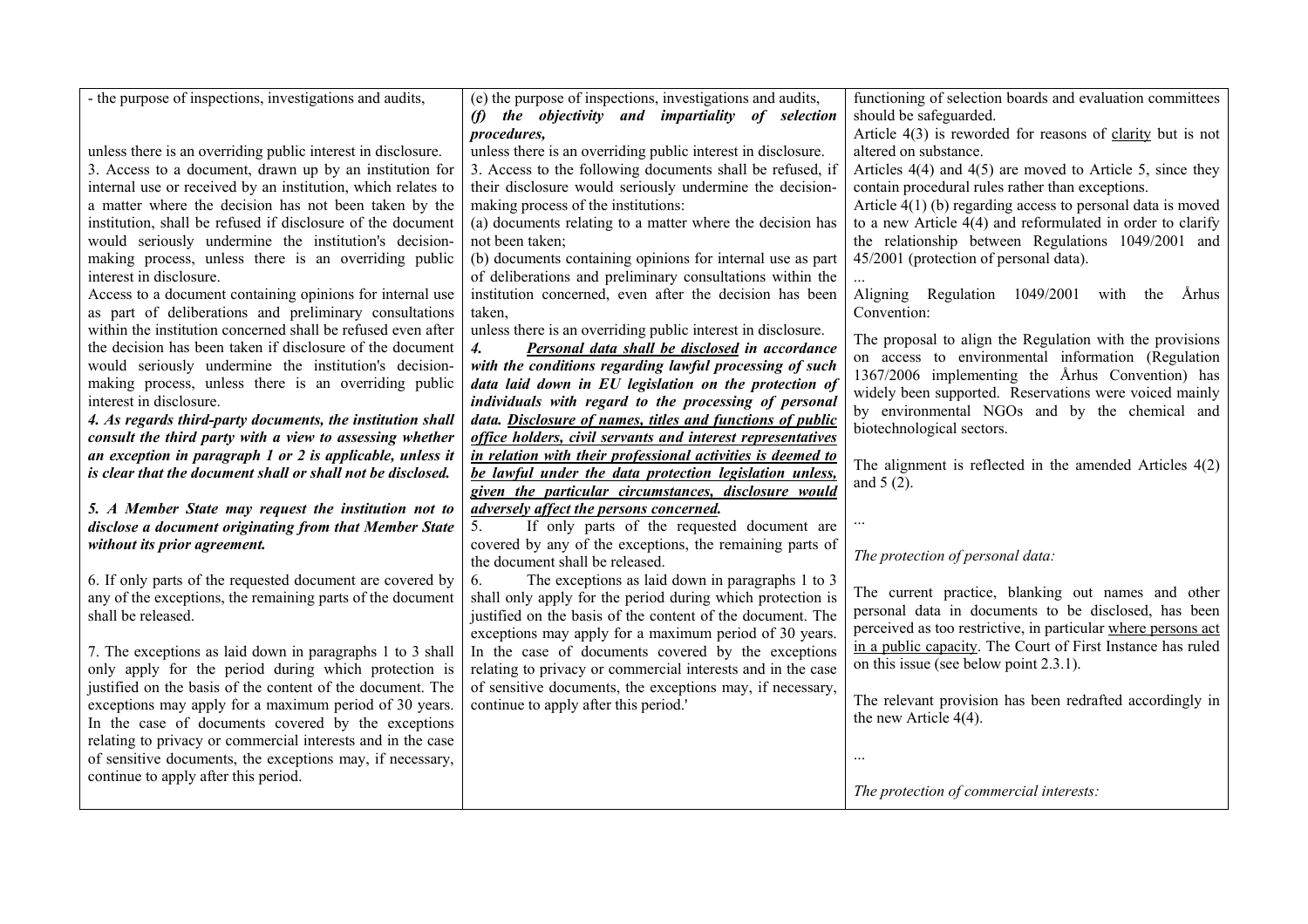| - the purpose of inspections, investigations and audits,      | (e) the purpose of inspections, investigations and audits,           | functioning of selection boards and evaluation committees                                                                    |
|---------------------------------------------------------------|----------------------------------------------------------------------|------------------------------------------------------------------------------------------------------------------------------|
|                                                               | (f) the objectivity and impartiality of selection                    | should be safeguarded.                                                                                                       |
|                                                               | procedures,                                                          | Article $4(3)$ is reworded for reasons of clarity but is not                                                                 |
| unless there is an overriding public interest in disclosure.  | unless there is an overriding public interest in disclosure.         | altered on substance.                                                                                                        |
| 3. Access to a document, drawn up by an institution for       | 3. Access to the following documents shall be refused, if            | Articles $4(4)$ and $4(5)$ are moved to Article 5, since they                                                                |
| internal use or received by an institution, which relates to  | their disclosure would seriously undermine the decision-             | contain procedural rules rather than exceptions.                                                                             |
| a matter where the decision has not been taken by the         | making process of the institutions:                                  | Article $4(1)$ (b) regarding access to personal data is moved                                                                |
| institution, shall be refused if disclosure of the document   | (a) documents relating to a matter where the decision has            | to a new Article $4(4)$ and reformulated in order to clarify                                                                 |
| would seriously undermine the institution's decision-         | not been taken;                                                      | the relationship between Regulations 1049/2001 and                                                                           |
| making process, unless there is an overriding public          | (b) documents containing opinions for internal use as part           | 45/2001 (protection of personal data).                                                                                       |
| interest in disclosure.                                       | of deliberations and preliminary consultations within the            |                                                                                                                              |
| Access to a document containing opinions for internal use     | institution concerned, even after the decision has been              | Aligning Regulation 1049/2001 with the Århus                                                                                 |
| as part of deliberations and preliminary consultations        | taken.                                                               | Convention:                                                                                                                  |
| within the institution concerned shall be refused even after  | unless there is an overriding public interest in disclosure.         |                                                                                                                              |
| the decision has been taken if disclosure of the document     | $\boldsymbol{4}$ .<br>Personal data shall be disclosed in accordance | The proposal to align the Regulation with the provisions                                                                     |
| would seriously undermine the institution's decision-         | with the conditions regarding lawful processing of such              | on access to environmental information (Regulation<br>1367/2006 implementing the Århus Convention) has                       |
| making process, unless there is an overriding public          | data laid down in EU legislation on the protection of                | widely been supported. Reservations were voiced mainly                                                                       |
| interest in disclosure.                                       | individuals with regard to the processing of personal                | by environmental NGOs and by the chemical and                                                                                |
| 4. As regards third-party documents, the institution shall    | data. Disclosure of names, titles and functions of public            | biotechnological sectors.                                                                                                    |
| consult the third party with a view to assessing whether      | office holders, civil servants and interest representatives          |                                                                                                                              |
| an exception in paragraph $1$ or $2$ is applicable, unless it | in relation with their professional activities is deemed to          | The alignment is reflected in the amended Articles $4(2)$                                                                    |
| is clear that the document shall or shall not be disclosed.   | be lawful under the data protection legislation unless,              | and $5(2)$ .                                                                                                                 |
|                                                               | given the particular circumstances, disclosure would                 |                                                                                                                              |
| 5. A Member State may request the institution not to          | adversely affect the persons concerned.                              |                                                                                                                              |
| disclose a document originating from that Member State        | If only parts of the requested document are<br>5.                    |                                                                                                                              |
| without its prior agreement.                                  | covered by any of the exceptions, the remaining parts of             |                                                                                                                              |
|                                                               | the document shall be released.                                      | The protection of personal data:                                                                                             |
| 6. If only parts of the requested document are covered by     | The exceptions as laid down in paragraphs 1 to 3<br>6.               |                                                                                                                              |
| any of the exceptions, the remaining parts of the document    | shall only apply for the period during which protection is           | The current practice, blanking out names and other<br>personal data in documents to be disclosed, has been                   |
| shall be released.                                            | justified on the basis of the content of the document. The           |                                                                                                                              |
|                                                               | exceptions may apply for a maximum period of 30 years.               | perceived as too restrictive, in particular where persons act<br>in a public capacity. The Court of First Instance has ruled |
| 7. The exceptions as laid down in paragraphs 1 to 3 shall     | In the case of documents covered by the exceptions                   | on this issue (see below point 2.3.1).                                                                                       |
| only apply for the period during which protection is          | relating to privacy or commercial interests and in the case          |                                                                                                                              |
| justified on the basis of the content of the document. The    | of sensitive documents, the exceptions may, if necessary,            | The relevant provision has been redrafted accordingly in                                                                     |
| exceptions may apply for a maximum period of 30 years.        | continue to apply after this period.'                                | the new Article $4(4)$ .                                                                                                     |
| In the case of documents covered by the exceptions            |                                                                      |                                                                                                                              |
| relating to privacy or commercial interests and in the case   |                                                                      |                                                                                                                              |
| of sensitive documents, the exceptions may, if necessary,     |                                                                      | $\ddotsc$                                                                                                                    |
| continue to apply after this period.                          |                                                                      |                                                                                                                              |
|                                                               |                                                                      | The protection of commercial interests:                                                                                      |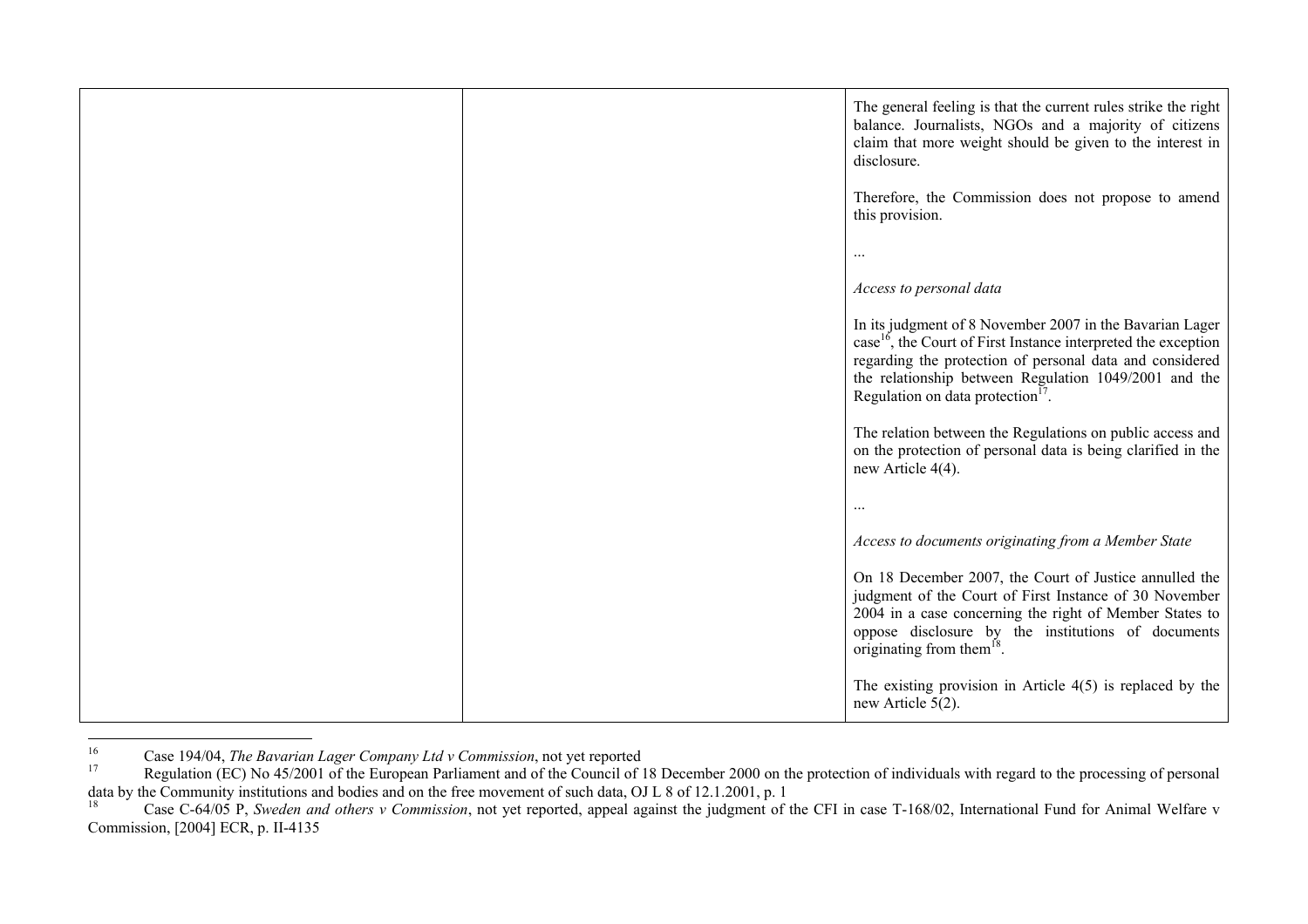|  | The general feeling is that the current rules strike the right<br>balance. Journalists, NGOs and a majority of citizens<br>claim that more weight should be given to the interest in<br>disclosure.                                                                                                          |
|--|--------------------------------------------------------------------------------------------------------------------------------------------------------------------------------------------------------------------------------------------------------------------------------------------------------------|
|  | Therefore, the Commission does not propose to amend<br>this provision.                                                                                                                                                                                                                                       |
|  | $\ddotsc$                                                                                                                                                                                                                                                                                                    |
|  | Access to personal data                                                                                                                                                                                                                                                                                      |
|  | In its judgment of 8 November 2007 in the Bavarian Lager<br>case <sup>16</sup> , the Court of First Instance interpreted the exception<br>regarding the protection of personal data and considered<br>the relationship between Regulation 1049/2001 and the<br>Regulation on data protection <sup>17</sup> . |
|  | The relation between the Regulations on public access and<br>on the protection of personal data is being clarified in the<br>new Article 4(4).                                                                                                                                                               |
|  |                                                                                                                                                                                                                                                                                                              |
|  | Access to documents originating from a Member State                                                                                                                                                                                                                                                          |
|  | On 18 December 2007, the Court of Justice annulled the<br>judgment of the Court of First Instance of 30 November<br>2004 in a case concerning the right of Member States to<br>oppose disclosure by the institutions of documents<br>originating from them $^{18}$ .                                         |
|  | The existing provision in Article $4(5)$ is replaced by the<br>new Article $5(2)$ .                                                                                                                                                                                                                          |

<sup>16</sup> Case 194/04, *The Bavarian Lager Company Ltd v Commission*, not yet reported

Regulation (EC) No 45/2001 of the European Parliament and of the Council of 18 December 2000 on the protection of individuals with regard to the processing of personal data by the Community institutions and bodies and on the free movement of such data, OJ L 8 of 12.1.2001, p. 1

<sup>&</sup>lt;sup>18</sup> Case C-64/05 P, *Sweden and others v Commission*, not yet reported, appeal against the judgment of the CFI in case T-168/02, International Fund for Animal Welfare v Commission, [2004] ECR, p. II-4135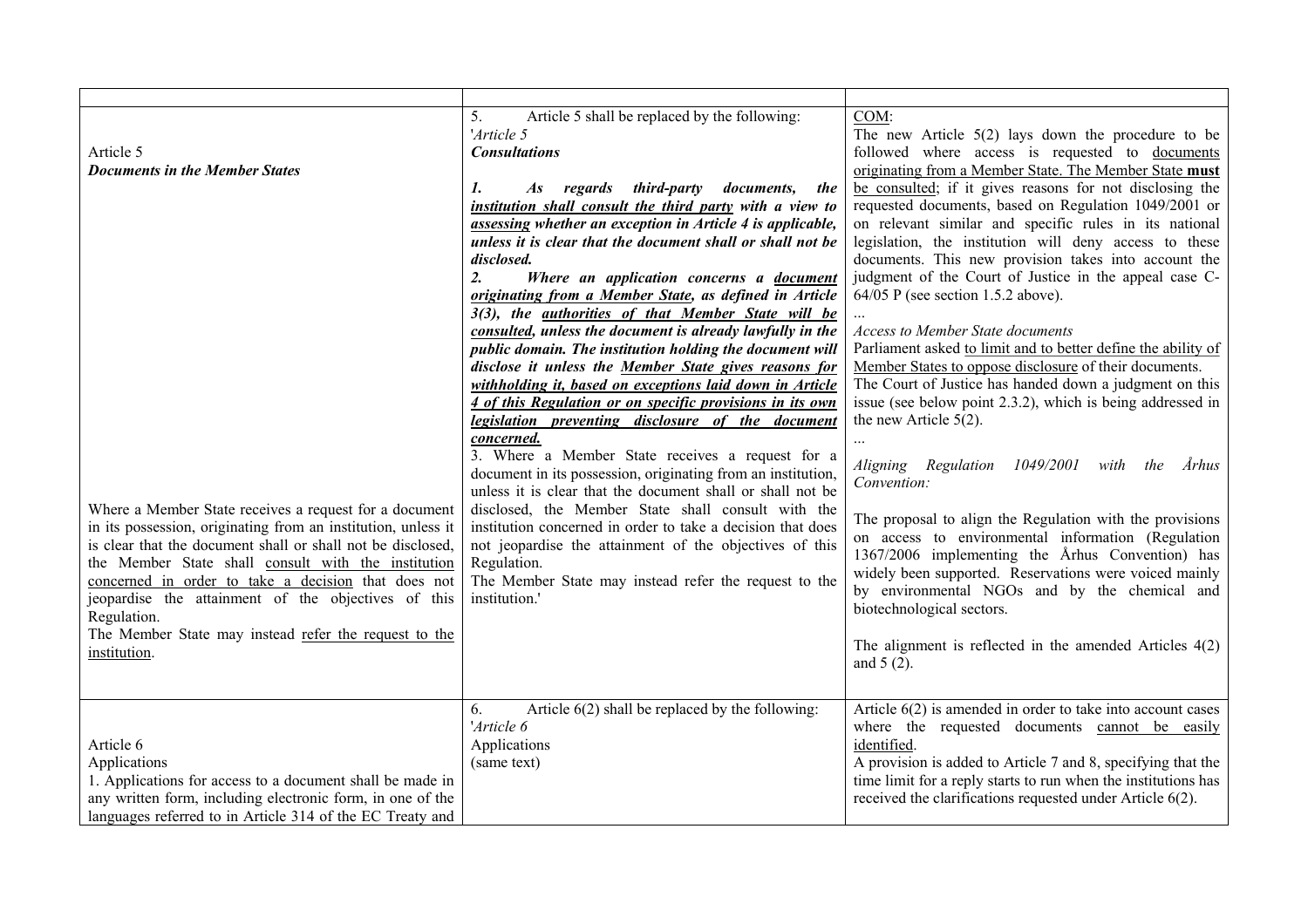| Article 5<br><b>Documents in the Member States</b><br>Where a Member State receives a request for a document<br>in its possession, originating from an institution, unless it<br>is clear that the document shall or shall not be disclosed,<br>the Member State shall consult with the institution<br>concerned in order to take a decision that does not<br>jeopardise the attainment of the objectives of this<br>Regulation.<br>The Member State may instead refer the request to the<br>institution. | Article 5 shall be replaced by the following:<br>5.<br>'Article 5<br><b>Consultations</b><br>1.<br>As regards third-party<br><i>documents,</i><br>the<br>institution shall consult the third party with a view to<br>assessing whether an exception in Article 4 is applicable,<br>unless it is clear that the document shall or shall not be<br>disclosed.<br>2.<br>Where an application concerns a document<br>originating from a Member State, as defined in Article<br>3(3), the <i>authorities of that Member State will be</i><br>consulted, unless the document is already lawfully in the<br>public domain. The institution holding the document will<br>disclose it unless the Member State gives reasons for<br>withholding it, based on exceptions laid down in Article<br>4 of this Regulation or on specific provisions in its own<br>legislation preventing disclosure of the document<br>concerned.<br>3. Where a Member State receives a request for a<br>document in its possession, originating from an institution,<br>unless it is clear that the document shall or shall not be<br>disclosed, the Member State shall consult with the<br>institution concerned in order to take a decision that does<br>not jeopardise the attainment of the objectives of this<br>Regulation.<br>The Member State may instead refer the request to the<br>institution.' | COM:<br>The new Article $5(2)$ lays down the procedure to be<br>followed where access is requested to documents<br>originating from a Member State. The Member State must<br>be consulted; if it gives reasons for not disclosing the<br>requested documents, based on Regulation 1049/2001 or<br>on relevant similar and specific rules in its national<br>legislation, the institution will deny access to these<br>documents. This new provision takes into account the<br>judgment of the Court of Justice in the appeal case C-<br>$64/05$ P (see section 1.5.2 above).<br><b>Access to Member State documents</b><br>Parliament asked to limit and to better define the ability of<br>Member States to oppose disclosure of their documents.<br>The Court of Justice has handed down a judgment on this<br>issue (see below point 2.3.2), which is being addressed in<br>the new Article $5(2)$ .<br>1049/2001<br>Aligning Regulation<br>Århus<br>with<br>the<br>Convention:<br>The proposal to align the Regulation with the provisions<br>on access to environmental information (Regulation<br>1367/2006 implementing the Århus Convention) has<br>widely been supported. Reservations were voiced mainly<br>by environmental NGOs and by the chemical and<br>biotechnological sectors.<br>The alignment is reflected in the amended Articles $4(2)$<br>and $5(2)$ . |
|-----------------------------------------------------------------------------------------------------------------------------------------------------------------------------------------------------------------------------------------------------------------------------------------------------------------------------------------------------------------------------------------------------------------------------------------------------------------------------------------------------------|-------------------------------------------------------------------------------------------------------------------------------------------------------------------------------------------------------------------------------------------------------------------------------------------------------------------------------------------------------------------------------------------------------------------------------------------------------------------------------------------------------------------------------------------------------------------------------------------------------------------------------------------------------------------------------------------------------------------------------------------------------------------------------------------------------------------------------------------------------------------------------------------------------------------------------------------------------------------------------------------------------------------------------------------------------------------------------------------------------------------------------------------------------------------------------------------------------------------------------------------------------------------------------------------------------------------------------------------------------------------------------|-------------------------------------------------------------------------------------------------------------------------------------------------------------------------------------------------------------------------------------------------------------------------------------------------------------------------------------------------------------------------------------------------------------------------------------------------------------------------------------------------------------------------------------------------------------------------------------------------------------------------------------------------------------------------------------------------------------------------------------------------------------------------------------------------------------------------------------------------------------------------------------------------------------------------------------------------------------------------------------------------------------------------------------------------------------------------------------------------------------------------------------------------------------------------------------------------------------------------------------------------------------------------------------------------------------------------------------------------------------------------------|
| Article 6<br>Applications<br>1. Applications for access to a document shall be made in<br>any written form, including electronic form, in one of the<br>languages referred to in Article 314 of the EC Treaty and                                                                                                                                                                                                                                                                                         | Article $6(2)$ shall be replaced by the following:<br>6.<br>'Article 6<br>Applications<br>(same text)                                                                                                                                                                                                                                                                                                                                                                                                                                                                                                                                                                                                                                                                                                                                                                                                                                                                                                                                                                                                                                                                                                                                                                                                                                                                         | Article $6(2)$ is amended in order to take into account cases<br>where the requested documents cannot be easily<br>identified.<br>A provision is added to Article 7 and 8, specifying that the<br>time limit for a reply starts to run when the institutions has<br>received the clarifications requested under Article 6(2).                                                                                                                                                                                                                                                                                                                                                                                                                                                                                                                                                                                                                                                                                                                                                                                                                                                                                                                                                                                                                                                 |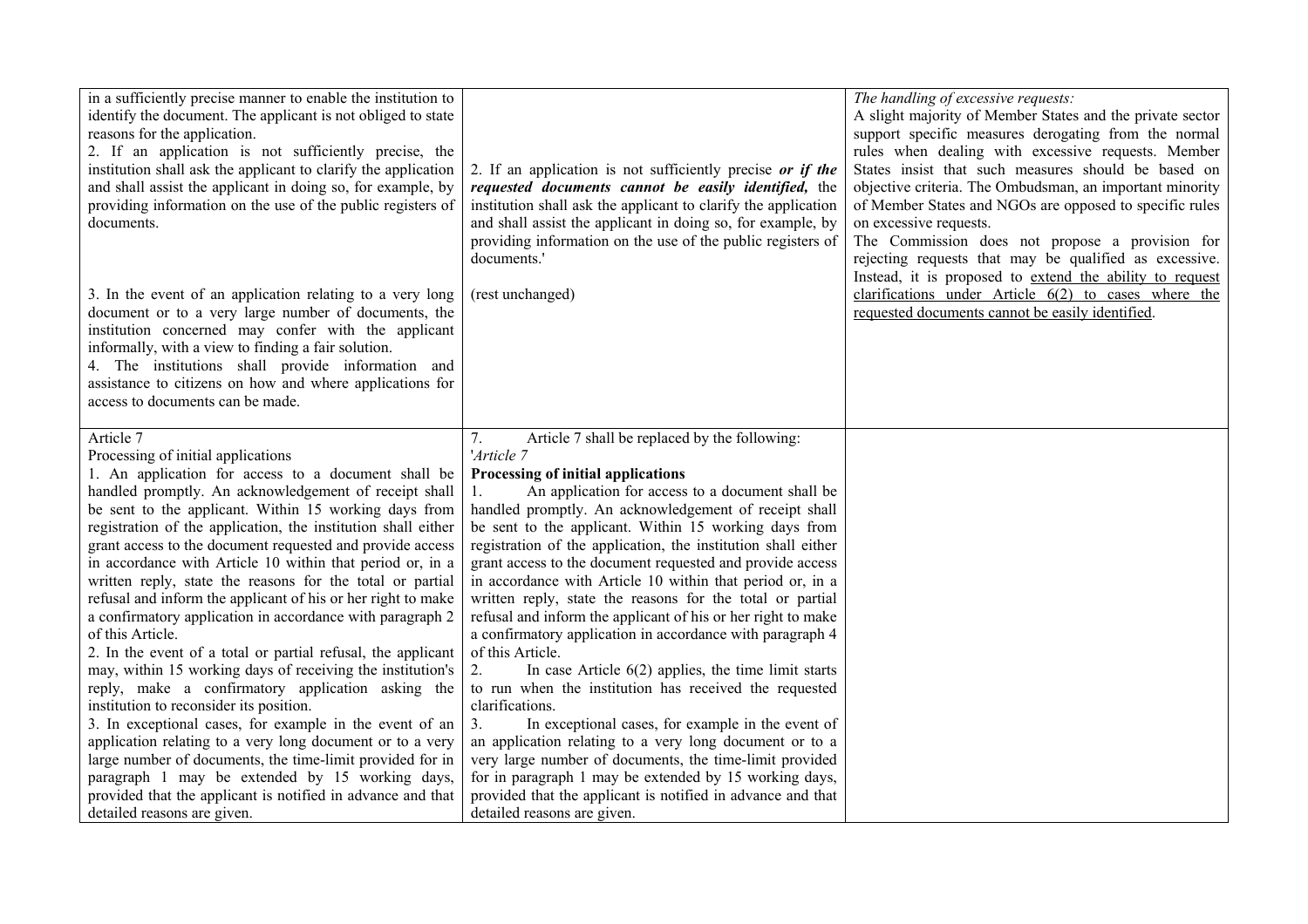| in a sufficiently precise manner to enable the institution to<br>identify the document. The applicant is not obliged to state<br>reasons for the application.<br>2. If an application is not sufficiently precise, the<br>institution shall ask the applicant to clarify the application<br>and shall assist the applicant in doing so, for example, by<br>providing information on the use of the public registers of<br>documents.<br>3. In the event of an application relating to a very long<br>document or to a very large number of documents, the<br>institution concerned may confer with the applicant<br>informally, with a view to finding a fair solution.<br>4. The institutions shall provide information and<br>assistance to citizens on how and where applications for<br>access to documents can be made.                                                                                                                                                                                                                                                                                                                                                                          | 2. If an application is not sufficiently precise or if the<br>requested documents cannot be easily identified, the<br>institution shall ask the applicant to clarify the application<br>and shall assist the applicant in doing so, for example, by<br>providing information on the use of the public registers of<br>documents.'<br>(rest unchanged)                                                                                                                                                                                                                                                                                                                                                                                                                                                                                                                                                                                                                                                                                                                                                                                                                       | The handling of excessive requests:<br>A slight majority of Member States and the private sector<br>support specific measures derogating from the normal<br>rules when dealing with excessive requests. Member<br>States insist that such measures should be based on<br>objective criteria. The Ombudsman, an important minority<br>of Member States and NGOs are opposed to specific rules<br>on excessive requests.<br>The Commission does not propose a provision for<br>rejecting requests that may be qualified as excessive.<br>Instead, it is proposed to extend the ability to request<br>clarifications under Article $6(2)$ to cases where the<br>requested documents cannot be easily identified. |
|-------------------------------------------------------------------------------------------------------------------------------------------------------------------------------------------------------------------------------------------------------------------------------------------------------------------------------------------------------------------------------------------------------------------------------------------------------------------------------------------------------------------------------------------------------------------------------------------------------------------------------------------------------------------------------------------------------------------------------------------------------------------------------------------------------------------------------------------------------------------------------------------------------------------------------------------------------------------------------------------------------------------------------------------------------------------------------------------------------------------------------------------------------------------------------------------------------|-----------------------------------------------------------------------------------------------------------------------------------------------------------------------------------------------------------------------------------------------------------------------------------------------------------------------------------------------------------------------------------------------------------------------------------------------------------------------------------------------------------------------------------------------------------------------------------------------------------------------------------------------------------------------------------------------------------------------------------------------------------------------------------------------------------------------------------------------------------------------------------------------------------------------------------------------------------------------------------------------------------------------------------------------------------------------------------------------------------------------------------------------------------------------------|---------------------------------------------------------------------------------------------------------------------------------------------------------------------------------------------------------------------------------------------------------------------------------------------------------------------------------------------------------------------------------------------------------------------------------------------------------------------------------------------------------------------------------------------------------------------------------------------------------------------------------------------------------------------------------------------------------------|
| Article 7<br>Processing of initial applications<br>1. An application for access to a document shall be<br>handled promptly. An acknowledgement of receipt shall<br>be sent to the applicant. Within 15 working days from<br>registration of the application, the institution shall either<br>grant access to the document requested and provide access<br>in accordance with Article 10 within that period or, in a<br>written reply, state the reasons for the total or partial<br>refusal and inform the applicant of his or her right to make<br>a confirmatory application in accordance with paragraph 2<br>of this Article.<br>2. In the event of a total or partial refusal, the applicant<br>may, within 15 working days of receiving the institution's<br>reply, make a confirmatory application asking the<br>institution to reconsider its position.<br>3. In exceptional cases, for example in the event of an<br>application relating to a very long document or to a very<br>large number of documents, the time-limit provided for in<br>paragraph 1 may be extended by 15 working days,<br>provided that the applicant is notified in advance and that<br>detailed reasons are given. | Article 7 shall be replaced by the following:<br>7.<br>'Article 7<br>Processing of initial applications<br>An application for access to a document shall be<br>handled promptly. An acknowledgement of receipt shall<br>be sent to the applicant. Within 15 working days from<br>registration of the application, the institution shall either<br>grant access to the document requested and provide access<br>in accordance with Article 10 within that period or, in a<br>written reply, state the reasons for the total or partial<br>refusal and inform the applicant of his or her right to make<br>a confirmatory application in accordance with paragraph 4<br>of this Article.<br>In case Article $6(2)$ applies, the time limit starts<br>2.<br>to run when the institution has received the requested<br>clarifications.<br>In exceptional cases, for example in the event of<br>3.<br>an application relating to a very long document or to a<br>very large number of documents, the time-limit provided<br>for in paragraph 1 may be extended by 15 working days,<br>provided that the applicant is notified in advance and that<br>detailed reasons are given. |                                                                                                                                                                                                                                                                                                                                                                                                                                                                                                                                                                                                                                                                                                               |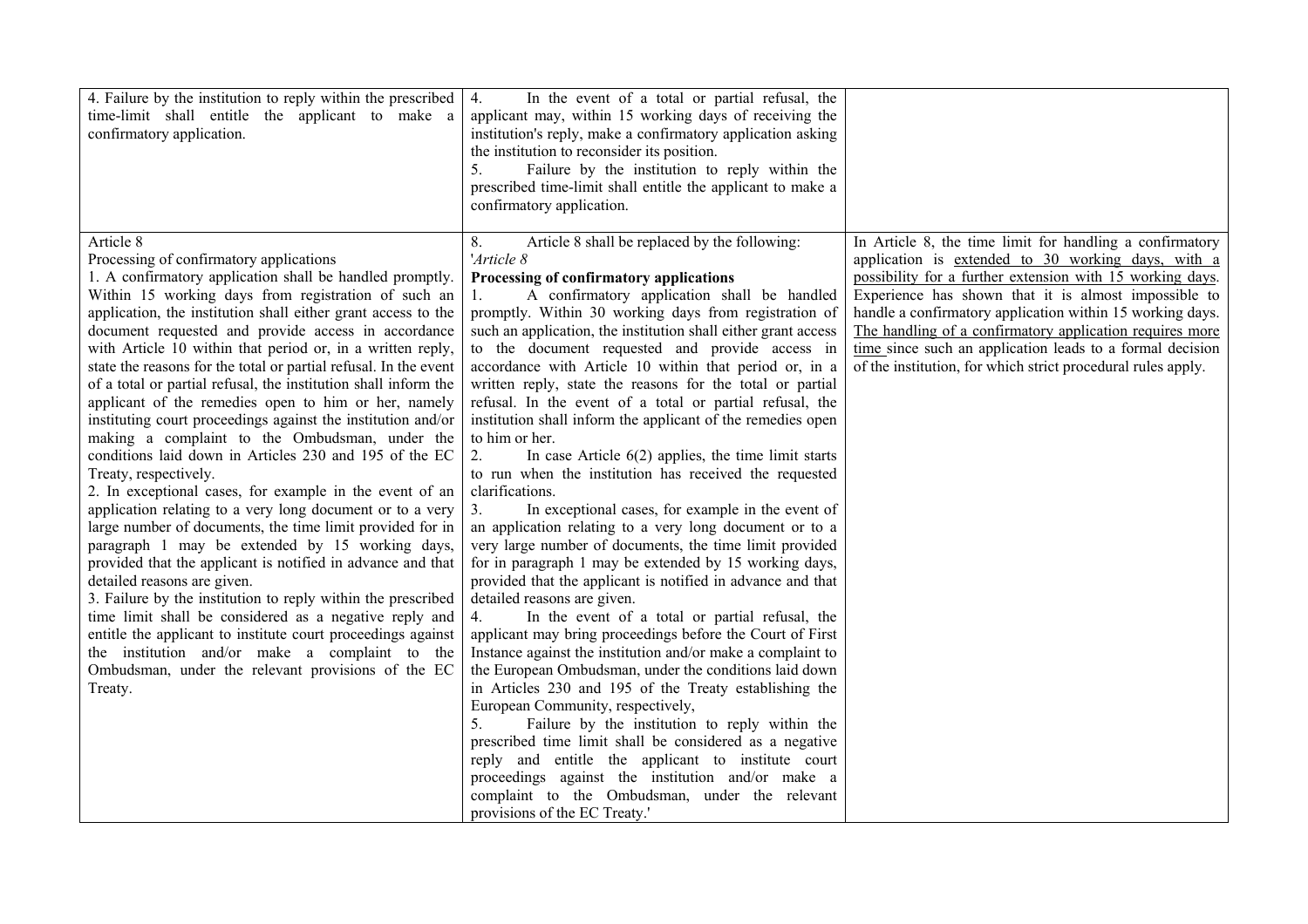| 4. Failure by the institution to reply within the prescribed<br>time-limit shall entitle the applicant to make a<br>confirmatory application.                                                                                                                                                                                                                                                                                                                                                                                                                                                                                                                                                                                                                                                                                                                                                                                                                                                                                                                                                                                                                                                                                                                                                                                                                                                                        | In the event of a total or partial refusal, the<br>4.<br>applicant may, within 15 working days of receiving the<br>institution's reply, make a confirmatory application asking<br>the institution to reconsider its position.<br>Failure by the institution to reply within the<br>5.<br>prescribed time-limit shall entitle the applicant to make a<br>confirmatory application.                                                                                                                                                                                                                                                                                                                                                                                                                                                                                                                                                                                                                                                                                                                                                                                                                                                                                                                                                                                                                                                                                                                                                                                                                                                                                                                                                                                                  |                                                                                                                                                                                                                                                                                                                                                                                                                                                                                           |
|----------------------------------------------------------------------------------------------------------------------------------------------------------------------------------------------------------------------------------------------------------------------------------------------------------------------------------------------------------------------------------------------------------------------------------------------------------------------------------------------------------------------------------------------------------------------------------------------------------------------------------------------------------------------------------------------------------------------------------------------------------------------------------------------------------------------------------------------------------------------------------------------------------------------------------------------------------------------------------------------------------------------------------------------------------------------------------------------------------------------------------------------------------------------------------------------------------------------------------------------------------------------------------------------------------------------------------------------------------------------------------------------------------------------|------------------------------------------------------------------------------------------------------------------------------------------------------------------------------------------------------------------------------------------------------------------------------------------------------------------------------------------------------------------------------------------------------------------------------------------------------------------------------------------------------------------------------------------------------------------------------------------------------------------------------------------------------------------------------------------------------------------------------------------------------------------------------------------------------------------------------------------------------------------------------------------------------------------------------------------------------------------------------------------------------------------------------------------------------------------------------------------------------------------------------------------------------------------------------------------------------------------------------------------------------------------------------------------------------------------------------------------------------------------------------------------------------------------------------------------------------------------------------------------------------------------------------------------------------------------------------------------------------------------------------------------------------------------------------------------------------------------------------------------------------------------------------------|-------------------------------------------------------------------------------------------------------------------------------------------------------------------------------------------------------------------------------------------------------------------------------------------------------------------------------------------------------------------------------------------------------------------------------------------------------------------------------------------|
| Article 8<br>Processing of confirmatory applications<br>1. A confirmatory application shall be handled promptly.<br>Within 15 working days from registration of such an<br>application, the institution shall either grant access to the<br>document requested and provide access in accordance<br>with Article 10 within that period or, in a written reply,<br>state the reasons for the total or partial refusal. In the event<br>of a total or partial refusal, the institution shall inform the<br>applicant of the remedies open to him or her, namely<br>instituting court proceedings against the institution and/or<br>making a complaint to the Ombudsman, under the<br>conditions laid down in Articles 230 and 195 of the EC<br>Treaty, respectively.<br>2. In exceptional cases, for example in the event of an<br>application relating to a very long document or to a very<br>large number of documents, the time limit provided for in<br>paragraph 1 may be extended by 15 working days,<br>provided that the applicant is notified in advance and that<br>detailed reasons are given.<br>3. Failure by the institution to reply within the prescribed<br>time limit shall be considered as a negative reply and<br>entitle the applicant to institute court proceedings against<br>the institution and/or make a complaint to the<br>Ombudsman, under the relevant provisions of the EC<br>Treaty. | Article 8 shall be replaced by the following:<br>8.<br>'Article 8<br>Processing of confirmatory applications<br>A confirmatory application shall be handled<br>promptly. Within 30 working days from registration of<br>such an application, the institution shall either grant access<br>to the document requested and provide access in<br>accordance with Article 10 within that period or, in a<br>written reply, state the reasons for the total or partial<br>refusal. In the event of a total or partial refusal, the<br>institution shall inform the applicant of the remedies open<br>to him or her.<br>In case Article $6(2)$ applies, the time limit starts<br>2.<br>to run when the institution has received the requested<br>clarifications.<br>3 <sub>1</sub><br>In exceptional cases, for example in the event of<br>an application relating to a very long document or to a<br>very large number of documents, the time limit provided<br>for in paragraph 1 may be extended by 15 working days,<br>provided that the applicant is notified in advance and that<br>detailed reasons are given.<br>In the event of a total or partial refusal, the<br>4.<br>applicant may bring proceedings before the Court of First<br>Instance against the institution and/or make a complaint to<br>the European Ombudsman, under the conditions laid down<br>in Articles 230 and 195 of the Treaty establishing the<br>European Community, respectively,<br>Failure by the institution to reply within the<br>$5_{-}$<br>prescribed time limit shall be considered as a negative<br>reply and entitle the applicant to institute court<br>proceedings against the institution and/or make a<br>complaint to the Ombudsman, under the relevant<br>provisions of the EC Treaty.' | In Article 8, the time limit for handling a confirmatory<br>application is extended to 30 working days, with a<br>possibility for a further extension with 15 working days.<br>Experience has shown that it is almost impossible to<br>handle a confirmatory application within 15 working days.<br>The handling of a confirmatory application requires more<br>time since such an application leads to a formal decision<br>of the institution, for which strict procedural rules apply. |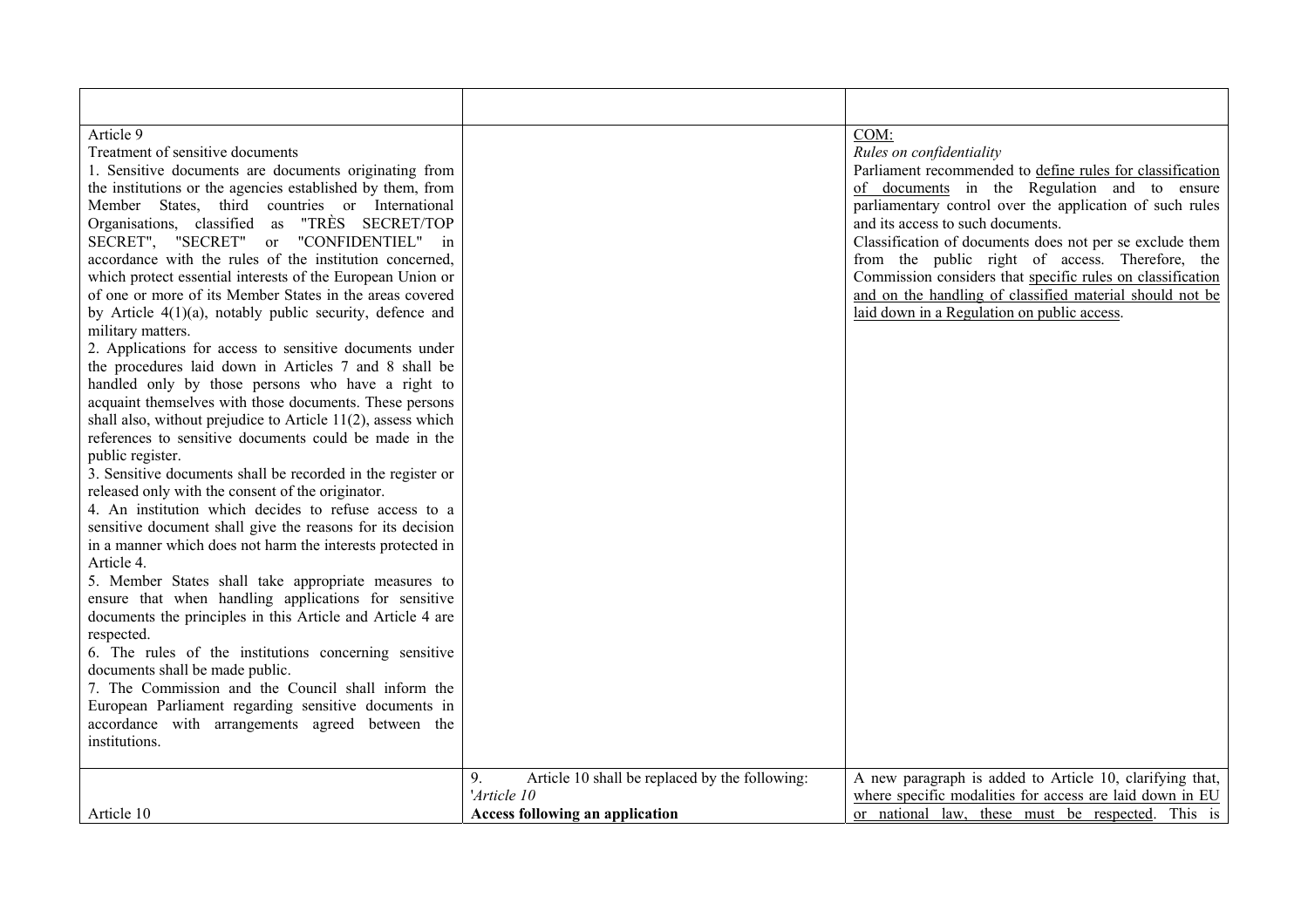| Article 9                                                                                                        |                                                      | COM:                                                       |
|------------------------------------------------------------------------------------------------------------------|------------------------------------------------------|------------------------------------------------------------|
| Treatment of sensitive documents                                                                                 |                                                      | Rules on confidentiality                                   |
| 1. Sensitive documents are documents originating from                                                            |                                                      | Parliament recommended to define rules for classification  |
| the institutions or the agencies established by them, from                                                       |                                                      | of documents in the Regulation and to ensure               |
| Member States, third countries or International                                                                  |                                                      | parliamentary control over the application of such rules   |
| Organisations, classified as "TRÈS SECRET/TOP                                                                    |                                                      | and its access to such documents.                          |
| SECRET", "SECRET" or "CONFIDENTIEL" in                                                                           |                                                      | Classification of documents does not per se exclude them   |
| accordance with the rules of the institution concerned,                                                          |                                                      | from the public right of access. Therefore, the            |
| which protect essential interests of the European Union or                                                       |                                                      | Commission considers that specific rules on classification |
| of one or more of its Member States in the areas covered                                                         |                                                      | and on the handling of classified material should not be   |
| by Article $4(1)(a)$ , notably public security, defence and                                                      |                                                      | laid down in a Regulation on public access.                |
| military matters.                                                                                                |                                                      |                                                            |
| 2. Applications for access to sensitive documents under<br>the procedures laid down in Articles 7 and 8 shall be |                                                      |                                                            |
| handled only by those persons who have a right to                                                                |                                                      |                                                            |
| acquaint themselves with those documents. These persons                                                          |                                                      |                                                            |
| shall also, without prejudice to Article 11(2), assess which                                                     |                                                      |                                                            |
| references to sensitive documents could be made in the                                                           |                                                      |                                                            |
| public register.                                                                                                 |                                                      |                                                            |
| 3. Sensitive documents shall be recorded in the register or                                                      |                                                      |                                                            |
| released only with the consent of the originator.                                                                |                                                      |                                                            |
| 4. An institution which decides to refuse access to a                                                            |                                                      |                                                            |
| sensitive document shall give the reasons for its decision                                                       |                                                      |                                                            |
| in a manner which does not harm the interests protected in                                                       |                                                      |                                                            |
| Article 4.                                                                                                       |                                                      |                                                            |
| 5. Member States shall take appropriate measures to                                                              |                                                      |                                                            |
| ensure that when handling applications for sensitive                                                             |                                                      |                                                            |
| documents the principles in this Article and Article 4 are                                                       |                                                      |                                                            |
| respected.                                                                                                       |                                                      |                                                            |
| 6. The rules of the institutions concerning sensitive                                                            |                                                      |                                                            |
| documents shall be made public.                                                                                  |                                                      |                                                            |
| 7. The Commission and the Council shall inform the                                                               |                                                      |                                                            |
| European Parliament regarding sensitive documents in                                                             |                                                      |                                                            |
| accordance with arrangements agreed between the                                                                  |                                                      |                                                            |
| institutions.                                                                                                    |                                                      |                                                            |
|                                                                                                                  |                                                      |                                                            |
|                                                                                                                  | Article 10 shall be replaced by the following:<br>9. | A new paragraph is added to Article 10, clarifying that,   |
|                                                                                                                  | 'Article 10                                          | where specific modalities for access are laid down in EU   |
| Article 10                                                                                                       | <b>Access following an application</b>               | or national law, these must be respected. This is          |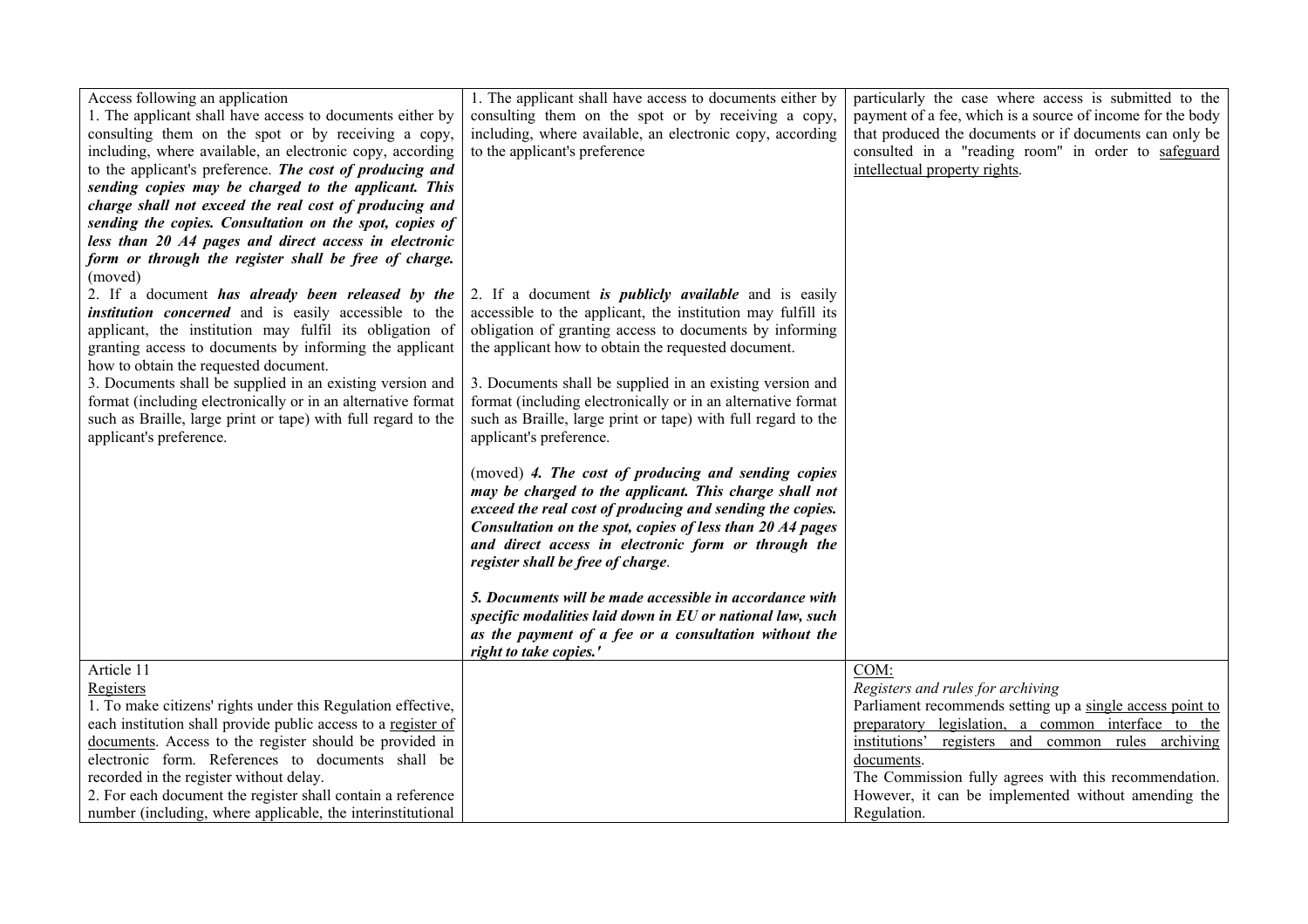| Access following an application                               | 1. The applicant shall have access to documents either by     | particularly the case where access is submitted to the     |
|---------------------------------------------------------------|---------------------------------------------------------------|------------------------------------------------------------|
| 1. The applicant shall have access to documents either by     | consulting them on the spot or by receiving a copy,           | payment of a fee, which is a source of income for the body |
| consulting them on the spot or by receiving a copy,           | including, where available, an electronic copy, according     | that produced the documents or if documents can only be    |
| including, where available, an electronic copy, according     | to the applicant's preference                                 | consulted in a "reading room" in order to safeguard        |
| to the applicant's preference. The cost of producing and      |                                                               | intellectual property rights.                              |
| sending copies may be charged to the applicant. This          |                                                               |                                                            |
| charge shall not exceed the real cost of producing and        |                                                               |                                                            |
| sending the copies. Consultation on the spot, copies of       |                                                               |                                                            |
| less than 20 A4 pages and direct access in electronic         |                                                               |                                                            |
| form or through the register shall be free of charge.         |                                                               |                                                            |
| (moved)                                                       |                                                               |                                                            |
| 2. If a document has already been released by the             | 2. If a document is <i>publicly available</i> and is easily   |                                                            |
| <i>institution concerned</i> and is easily accessible to the  | accessible to the applicant, the institution may fulfill its  |                                                            |
| applicant, the institution may fulfil its obligation of       | obligation of granting access to documents by informing       |                                                            |
| granting access to documents by informing the applicant       | the applicant how to obtain the requested document.           |                                                            |
| how to obtain the requested document.                         |                                                               |                                                            |
| 3. Documents shall be supplied in an existing version and     | 3. Documents shall be supplied in an existing version and     |                                                            |
| format (including electronically or in an alternative format  | format (including electronically or in an alternative format  |                                                            |
| such as Braille, large print or tape) with full regard to the | such as Braille, large print or tape) with full regard to the |                                                            |
| applicant's preference.                                       | applicant's preference.                                       |                                                            |
|                                                               |                                                               |                                                            |
|                                                               | (moved) 4. The cost of producing and sending copies           |                                                            |
|                                                               | may be charged to the applicant. This charge shall not        |                                                            |
|                                                               | exceed the real cost of producing and sending the copies.     |                                                            |
|                                                               | Consultation on the spot, copies of less than 20 A4 pages     |                                                            |
|                                                               | and direct access in electronic form or through the           |                                                            |
|                                                               | register shall be free of charge.                             |                                                            |
|                                                               |                                                               |                                                            |
|                                                               | 5. Documents will be made accessible in accordance with       |                                                            |
|                                                               | specific modalities laid down in EU or national law, such     |                                                            |
|                                                               | as the payment of a fee or a consultation without the         |                                                            |
|                                                               | right to take copies.'                                        |                                                            |
| Article 11                                                    |                                                               | COM:                                                       |
| Registers                                                     |                                                               | Registers and rules for archiving                          |
| 1. To make citizens' rights under this Regulation effective,  |                                                               | Parliament recommends setting up a single access point to  |
| each institution shall provide public access to a register of |                                                               | preparatory legislation, a common interface to the         |
| documents. Access to the register should be provided in       |                                                               | institutions' registers and common rules archiving         |
| electronic form. References to documents shall be             |                                                               | documents.                                                 |
| recorded in the register without delay.                       |                                                               | The Commission fully agrees with this recommendation.      |
| 2. For each document the register shall contain a reference   |                                                               | However, it can be implemented without amending the        |
| number (including, where applicable, the interinstitutional   |                                                               | Regulation.                                                |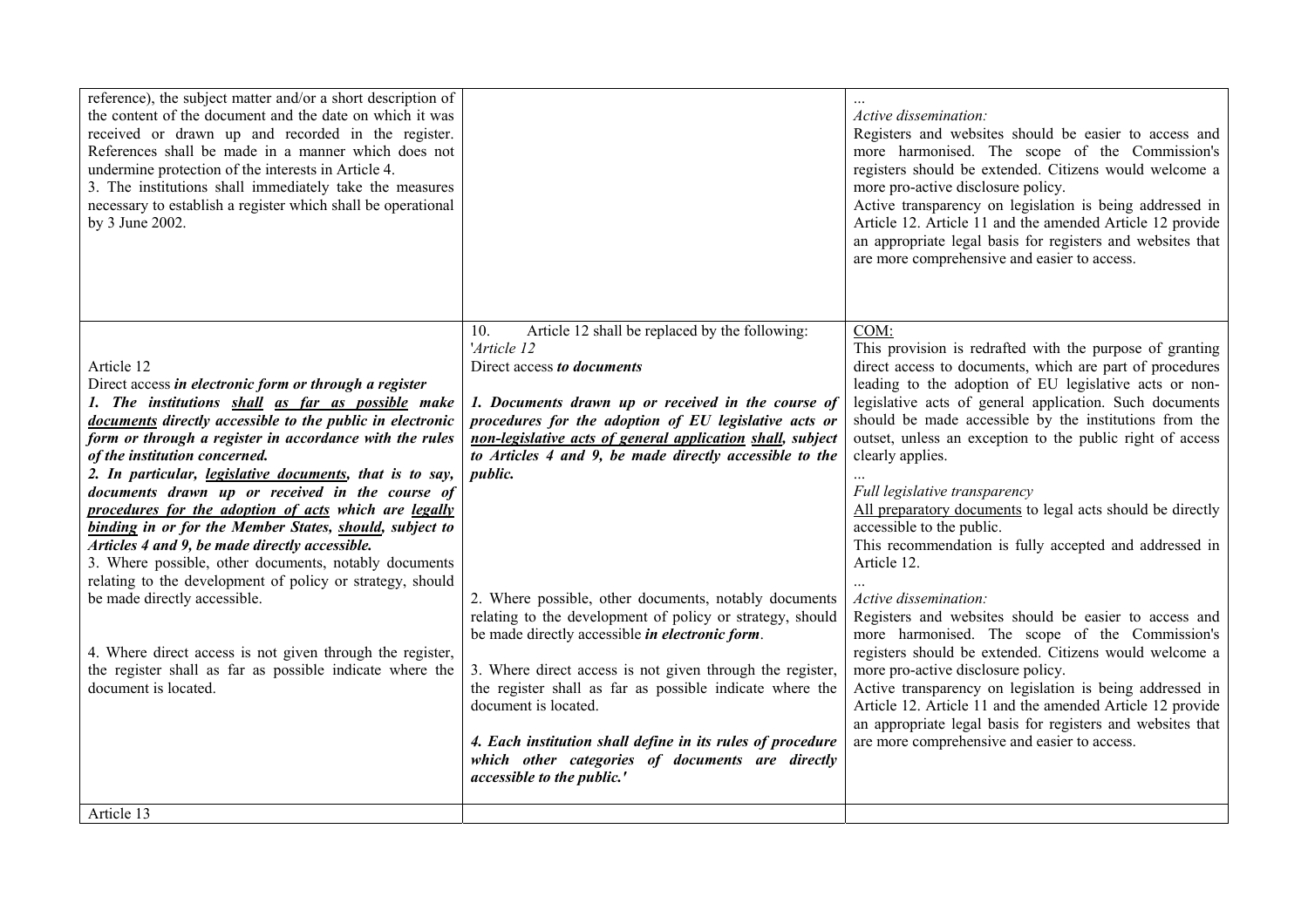| Article 12 shall be replaced by the following:<br>COM:<br>10.<br>'Article 12<br>Article 12<br>Direct access to documents<br>Direct access in electronic form or through a register<br>1. The institutions shall as far as possible make<br>1. Documents drawn up or received in the course of<br>documents directly accessible to the public in electronic<br>procedures for the adoption of EU legislative acts or<br>form or through a register in accordance with the rules<br>non-legislative acts of general application shall, subject<br>to Articles 4 and 9, be made directly accessible to the<br>of the institution concerned.<br>clearly applies.<br>2. In particular, <i>legislative documents</i> , that is to say,<br><i>public.</i><br>documents drawn up or received in the course of<br>Full legislative transparency<br>procedures for the adoption of acts which are legally<br>accessible to the public.<br>binding in or for the Member States, should, subject to<br>Articles 4 and 9, be made directly accessible.<br>3. Where possible, other documents, notably documents<br>Article 12.<br>relating to the development of policy or strategy, should<br>be made directly accessible.<br>2. Where possible, other documents, notably documents<br>Active dissemination:<br>relating to the development of policy or strategy, should<br>be made directly accessible <i>in electronic form</i> .<br>4. Where direct access is not given through the register,<br>the register shall as far as possible indicate where the<br>3. Where direct access is not given through the register,<br>more pro-active disclosure policy.<br>document is located.<br>the register shall as far as possible indicate where the<br>document is located.<br>are more comprehensive and easier to access.<br>4. Each institution shall define in its rules of procedure<br>which other categories of documents are directly | reference), the subject matter and/or a short description of<br>the content of the document and the date on which it was<br>received or drawn up and recorded in the register.<br>References shall be made in a manner which does not<br>undermine protection of the interests in Article 4.<br>3. The institutions shall immediately take the measures<br>necessary to establish a register which shall be operational<br>by 3 June 2002. |                            | Active dissemination:<br>Registers and websites should be easier to access and<br>more harmonised. The scope of the Commission's<br>registers should be extended. Citizens would welcome a<br>more pro-active disclosure policy.<br>Active transparency on legislation is being addressed in<br>Article 12. Article 11 and the amended Article 12 provide<br>an appropriate legal basis for registers and websites that<br>are more comprehensive and easier to access.                                                                                                                                                                                                                                                                                                                                                                              |
|------------------------------------------------------------------------------------------------------------------------------------------------------------------------------------------------------------------------------------------------------------------------------------------------------------------------------------------------------------------------------------------------------------------------------------------------------------------------------------------------------------------------------------------------------------------------------------------------------------------------------------------------------------------------------------------------------------------------------------------------------------------------------------------------------------------------------------------------------------------------------------------------------------------------------------------------------------------------------------------------------------------------------------------------------------------------------------------------------------------------------------------------------------------------------------------------------------------------------------------------------------------------------------------------------------------------------------------------------------------------------------------------------------------------------------------------------------------------------------------------------------------------------------------------------------------------------------------------------------------------------------------------------------------------------------------------------------------------------------------------------------------------------------------------------------------------------------------------------------------------------------------------------------------------------------|--------------------------------------------------------------------------------------------------------------------------------------------------------------------------------------------------------------------------------------------------------------------------------------------------------------------------------------------------------------------------------------------------------------------------------------------|----------------------------|------------------------------------------------------------------------------------------------------------------------------------------------------------------------------------------------------------------------------------------------------------------------------------------------------------------------------------------------------------------------------------------------------------------------------------------------------------------------------------------------------------------------------------------------------------------------------------------------------------------------------------------------------------------------------------------------------------------------------------------------------------------------------------------------------------------------------------------------------|
|                                                                                                                                                                                                                                                                                                                                                                                                                                                                                                                                                                                                                                                                                                                                                                                                                                                                                                                                                                                                                                                                                                                                                                                                                                                                                                                                                                                                                                                                                                                                                                                                                                                                                                                                                                                                                                                                                                                                    |                                                                                                                                                                                                                                                                                                                                                                                                                                            | accessible to the public.' | This provision is redrafted with the purpose of granting<br>direct access to documents, which are part of procedures<br>leading to the adoption of EU legislative acts or non-<br>legislative acts of general application. Such documents<br>should be made accessible by the institutions from the<br>outset, unless an exception to the public right of access<br>All preparatory documents to legal acts should be directly<br>This recommendation is fully accepted and addressed in<br>Registers and websites should be easier to access and<br>more harmonised. The scope of the Commission's<br>registers should be extended. Citizens would welcome a<br>Active transparency on legislation is being addressed in<br>Article 12. Article 11 and the amended Article 12 provide<br>an appropriate legal basis for registers and websites that |
| Article 13                                                                                                                                                                                                                                                                                                                                                                                                                                                                                                                                                                                                                                                                                                                                                                                                                                                                                                                                                                                                                                                                                                                                                                                                                                                                                                                                                                                                                                                                                                                                                                                                                                                                                                                                                                                                                                                                                                                         |                                                                                                                                                                                                                                                                                                                                                                                                                                            |                            |                                                                                                                                                                                                                                                                                                                                                                                                                                                                                                                                                                                                                                                                                                                                                                                                                                                      |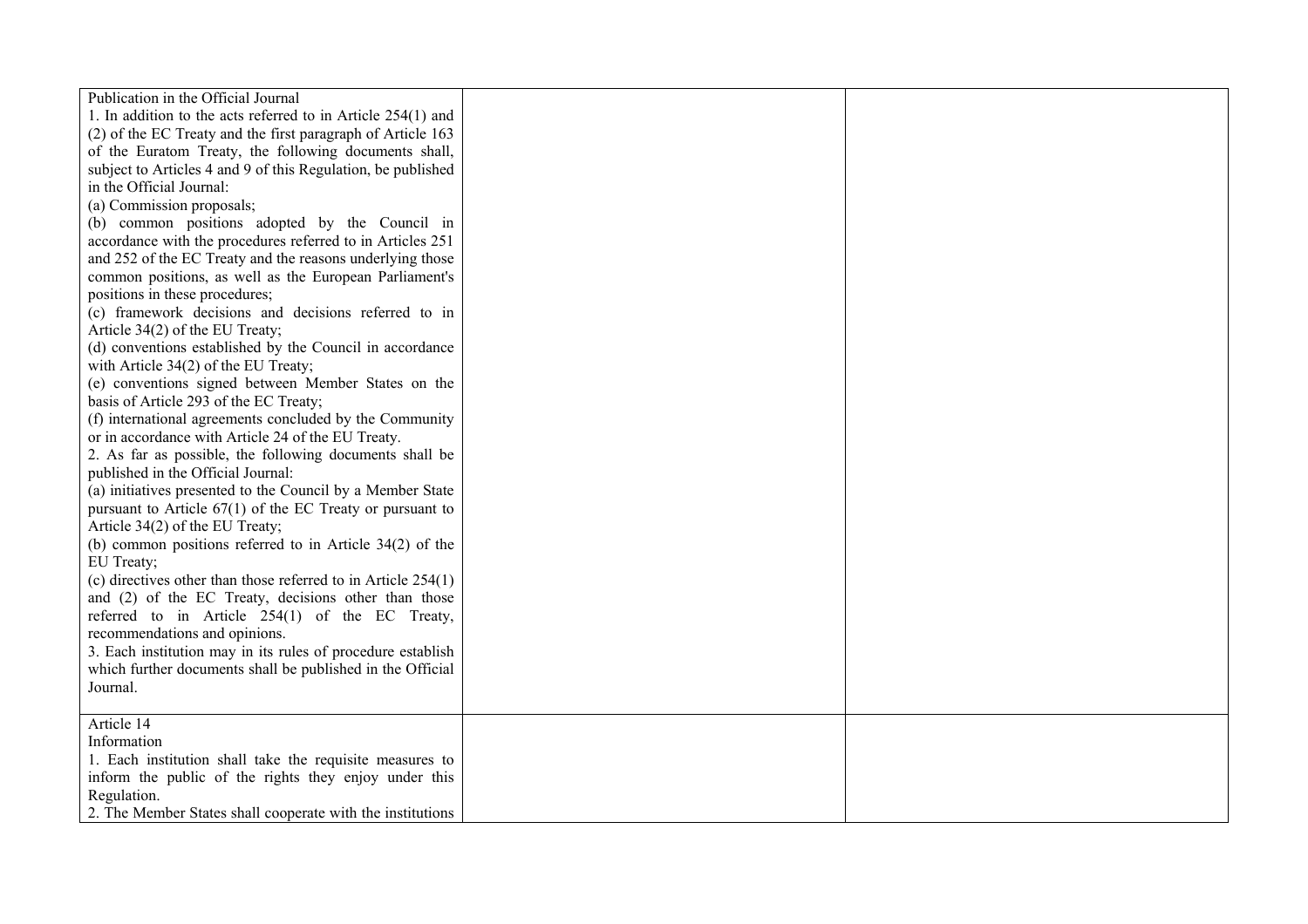| Publication in the Official Journal<br>1. In addition to the acts referred to in Article 254(1) and<br>(2) of the EC Treaty and the first paragraph of Article 163<br>of the Euratom Treaty, the following documents shall,<br>subject to Articles 4 and 9 of this Regulation, be published<br>in the Official Journal:<br>(a) Commission proposals;<br>(b) common positions adopted by the Council in<br>accordance with the procedures referred to in Articles 251<br>and 252 of the EC Treaty and the reasons underlying those<br>common positions, as well as the European Parliament's<br>positions in these procedures;<br>(c) framework decisions and decisions referred to in<br>Article 34(2) of the EU Treaty;<br>(d) conventions established by the Council in accordance<br>with Article $34(2)$ of the EU Treaty;<br>(e) conventions signed between Member States on the<br>basis of Article 293 of the EC Treaty;<br>(f) international agreements concluded by the Community<br>or in accordance with Article 24 of the EU Treaty.<br>2. As far as possible, the following documents shall be<br>published in the Official Journal:<br>(a) initiatives presented to the Council by a Member State |  |
|-----------------------------------------------------------------------------------------------------------------------------------------------------------------------------------------------------------------------------------------------------------------------------------------------------------------------------------------------------------------------------------------------------------------------------------------------------------------------------------------------------------------------------------------------------------------------------------------------------------------------------------------------------------------------------------------------------------------------------------------------------------------------------------------------------------------------------------------------------------------------------------------------------------------------------------------------------------------------------------------------------------------------------------------------------------------------------------------------------------------------------------------------------------------------------------------------------------------|--|
| Article 34(2) of the EU Treaty;<br>(b) common positions referred to in Article $34(2)$ of the<br>EU Treaty;<br>(c) directives other than those referred to in Article $254(1)$<br>and (2) of the EC Treaty, decisions other than those<br>referred to in Article 254(1) of the EC Treaty,<br>recommendations and opinions.<br>3. Each institution may in its rules of procedure establish<br>which further documents shall be published in the Official<br>Journal.                                                                                                                                                                                                                                                                                                                                                                                                                                                                                                                                                                                                                                                                                                                                             |  |
| Article 14<br>Information<br>1. Each institution shall take the requisite measures to<br>inform the public of the rights they enjoy under this<br>Regulation.<br>2. The Member States shall cooperate with the institutions                                                                                                                                                                                                                                                                                                                                                                                                                                                                                                                                                                                                                                                                                                                                                                                                                                                                                                                                                                                     |  |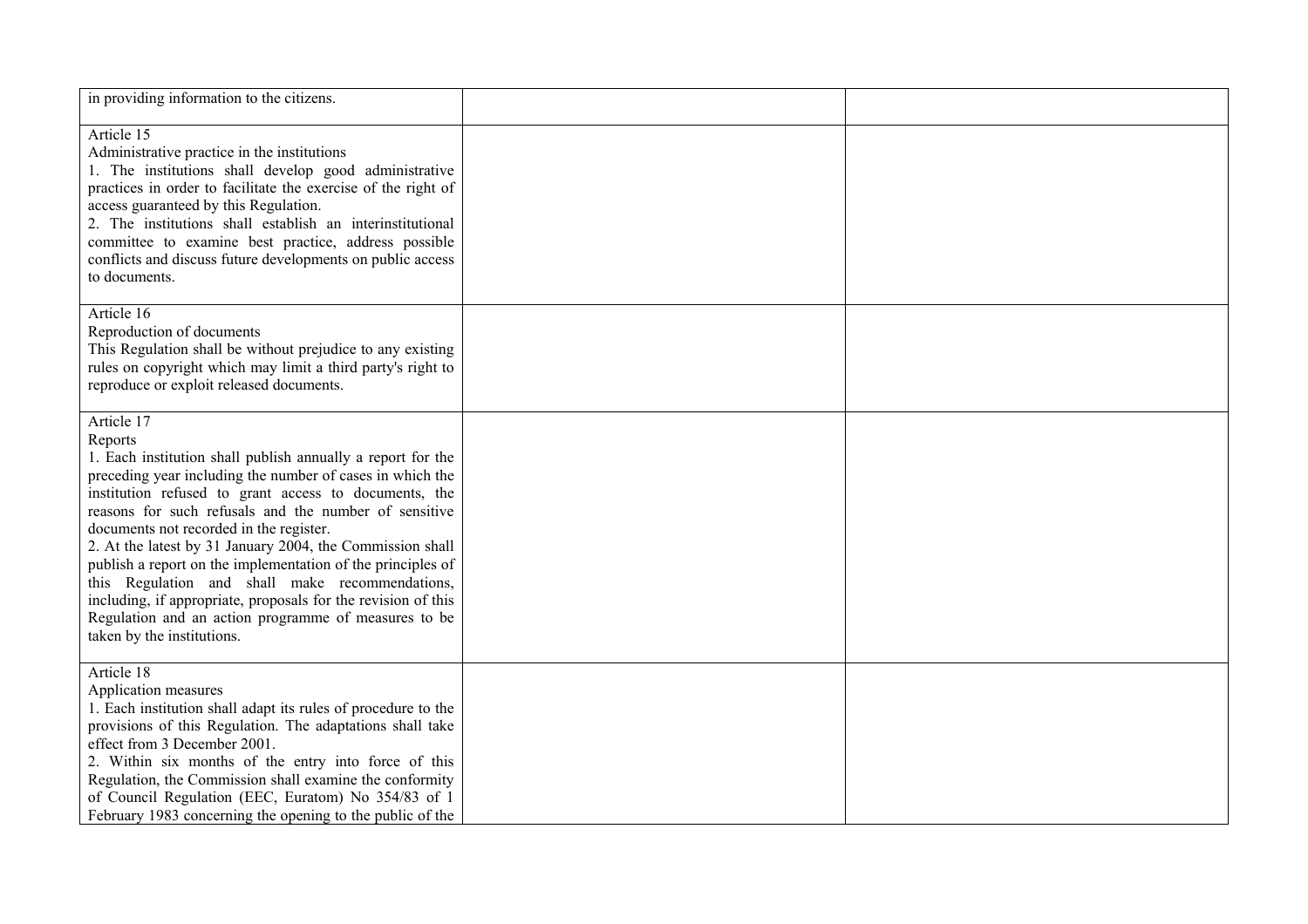| in providing information to the citizens.                                                                                                                                                                                                                                                                                                                                                                                                                                                                                                                                                                                                            |  |
|------------------------------------------------------------------------------------------------------------------------------------------------------------------------------------------------------------------------------------------------------------------------------------------------------------------------------------------------------------------------------------------------------------------------------------------------------------------------------------------------------------------------------------------------------------------------------------------------------------------------------------------------------|--|
| Article 15<br>Administrative practice in the institutions<br>1. The institutions shall develop good administrative<br>practices in order to facilitate the exercise of the right of<br>access guaranteed by this Regulation.<br>2. The institutions shall establish an interinstitutional<br>committee to examine best practice, address possible<br>conflicts and discuss future developments on public access<br>to documents.                                                                                                                                                                                                                     |  |
| Article 16<br>Reproduction of documents<br>This Regulation shall be without prejudice to any existing<br>rules on copyright which may limit a third party's right to<br>reproduce or exploit released documents.                                                                                                                                                                                                                                                                                                                                                                                                                                     |  |
| Article 17<br>Reports<br>1. Each institution shall publish annually a report for the<br>preceding year including the number of cases in which the<br>institution refused to grant access to documents, the<br>reasons for such refusals and the number of sensitive<br>documents not recorded in the register.<br>2. At the latest by 31 January 2004, the Commission shall<br>publish a report on the implementation of the principles of<br>this Regulation and shall make recommendations,<br>including, if appropriate, proposals for the revision of this<br>Regulation and an action programme of measures to be<br>taken by the institutions. |  |
| Article 18<br>Application measures<br>1. Each institution shall adapt its rules of procedure to the<br>provisions of this Regulation. The adaptations shall take<br>effect from 3 December 2001.<br>2. Within six months of the entry into force of this<br>Regulation, the Commission shall examine the conformity<br>of Council Regulation (EEC, Euratom) No 354/83 of 1<br>February 1983 concerning the opening to the public of the                                                                                                                                                                                                              |  |